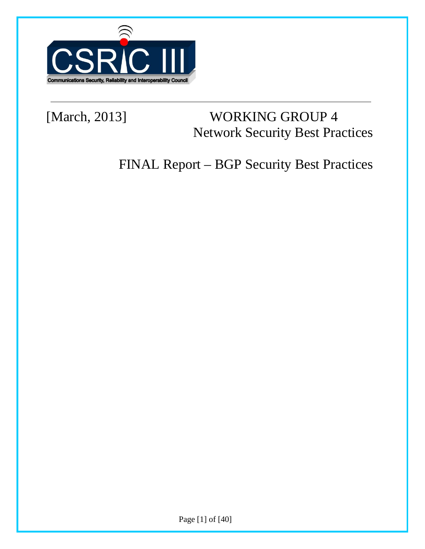

# [March, 2013] WORKING GROUP 4 Network Security Best Practices

FINAL Report – BGP Security Best Practices

Page [1] of [40]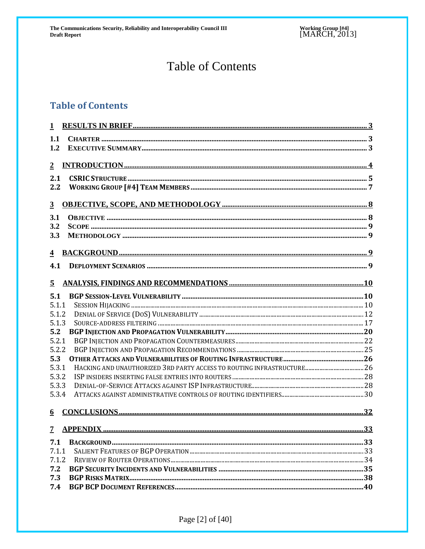# **Table of Contents**

## **Table of Contents**

| $\mathbf{1}$    |            |    |
|-----------------|------------|----|
| 1.1             |            |    |
| 1.2             |            |    |
|                 |            |    |
| $\overline{2}$  |            |    |
| 2.1             |            |    |
| 2.2             |            |    |
| $\overline{3}$  |            |    |
|                 |            |    |
| 3.1             |            |    |
| 3.2             |            |    |
| 3.3             |            |    |
| $\overline{4}$  |            |    |
| 4.1             |            |    |
|                 |            |    |
| $5\overline{)}$ |            |    |
| 5.1             |            |    |
| 5.1.1           |            |    |
| 5.1.2           |            |    |
| 5.1.3           |            |    |
| 5.2             |            |    |
| 5.2.1           |            |    |
| 5.2.2           |            |    |
| 5.3             |            |    |
| 5.3.1           |            |    |
| 5.3.2           |            |    |
| 5.3.3           |            |    |
| 5.3.4           |            |    |
| 6               |            |    |
|                 | 7 APPENDIX | 33 |
| 7.1             |            |    |
| 7.1.1           |            |    |
| 7.1.2           |            |    |
| 7.2             |            |    |
| 7.3             |            |    |
| 7.4             |            |    |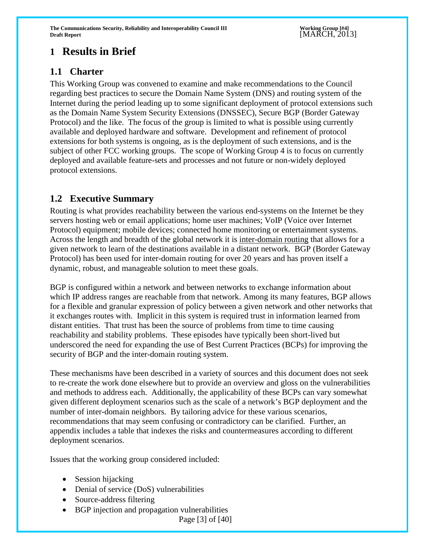## **1 Results in Brief**

## **1.1 Charter**

This Working Group was convened to examine and make recommendations to the Council regarding best practices to secure the Domain Name System (DNS) and routing system of the Internet during the period leading up to some significant deployment of protocol extensions such as the Domain Name System Security Extensions (DNSSEC), Secure BGP (Border Gateway Protocol) and the like. The focus of the group is limited to what is possible using currently available and deployed hardware and software. Development and refinement of protocol extensions for both systems is ongoing, as is the deployment of such extensions, and is the subject of other FCC working groups. The scope of Working Group 4 is to focus on currently deployed and available feature-sets and processes and not future or non-widely deployed protocol extensions.

## **1.2 Executive Summary**

Routing is what provides reachability between the various end-systems on the Internet be they servers hosting web or email applications; home user machines; VoIP (Voice over Internet Protocol) equipment; mobile devices; connected home monitoring or entertainment systems. Across the length and breadth of the global network it is inter-domain routing that allows for a given network to learn of the destinations available in a distant network. BGP (Border Gateway Protocol) has been used for inter-domain routing for over 20 years and has proven itself a dynamic, robust, and manageable solution to meet these goals.

BGP is configured within a network and between networks to exchange information about which IP address ranges are reachable from that network. Among its many features, BGP allows for a flexible and granular expression of policy between a given network and other networks that it exchanges routes with. Implicit in this system is required trust in information learned from distant entities. That trust has been the source of problems from time to time causing reachability and stability problems. These episodes have typically been short-lived but underscored the need for expanding the use of Best Current Practices (BCPs) for improving the security of BGP and the inter-domain routing system.

These mechanisms have been described in a variety of sources and this document does not seek to re-create the work done elsewhere but to provide an overview and gloss on the vulnerabilities and methods to address each. Additionally, the applicability of these BCPs can vary somewhat given different deployment scenarios such as the scale of a network's BGP deployment and the number of inter-domain neighbors. By tailoring advice for these various scenarios, recommendations that may seem confusing or contradictory can be clarified. Further, an appendix includes a table that indexes the risks and countermeasures according to different deployment scenarios.

Issues that the working group considered included:

- Session hijacking
- Denial of service (DoS) vulnerabilities
- <span id="page-2-0"></span>• Source-address filtering
- BGP injection and propagation vulnerabilities

Page [3] of [40]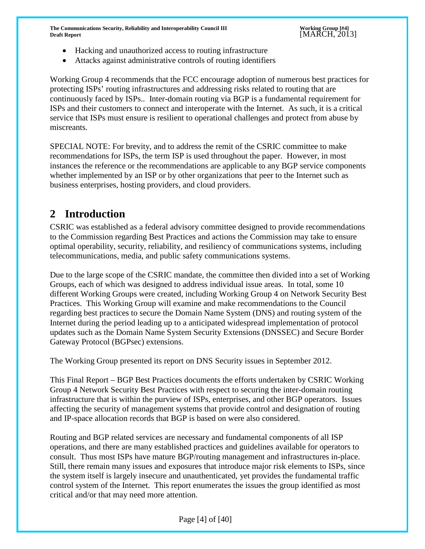

- Hacking and unauthorized access to routing infrastructure
- Attacks against administrative controls of routing identifiers

Working Group 4 recommends that the FCC encourage adoption of numerous best practices for protecting ISPs' routing infrastructures and addressing risks related to routing that are continuously faced by ISPs.. Inter-domain routing via BGP is a fundamental requirement for ISPs and their customers to connect and interoperate with the Internet. As such, it is a critical service that ISPs must ensure is resilient to operational challenges and protect from abuse by miscreants.

SPECIAL NOTE: For brevity, and to address the remit of the CSRIC committee to make recommendations for ISPs, the term ISP is used throughout the paper. However, in most instances the reference or the recommendations are applicable to any BGP service components whether implemented by an ISP or by other organizations that peer to the Internet such as business enterprises, hosting providers, and cloud providers.

## **2 Introduction**

CSRIC was established as a federal advisory committee designed to provide recommendations to the Commission regarding Best Practices and actions the Commission may take to ensure optimal operability, security, reliability, and resiliency of communications systems, including telecommunications, media, and public safety communications systems.

Due to the large scope of the CSRIC mandate, the committee then divided into a set of Working Groups, each of which was designed to address individual issue areas. In total, some 10 different Working Groups were created, including Working Group 4 on Network Security Best Practices. This Working Group will examine and make recommendations to the Council regarding best practices to secure the Domain Name System (DNS) and routing system of the Internet during the period leading up to a anticipated widespread implementation of protocol updates such as the Domain Name System Security Extensions (DNSSEC) and Secure Border Gateway Protocol (BGPsec) extensions.

The Working Group presented its report on DNS Security issues in September 2012.

This Final Report – BGP Best Practices documents the efforts undertaken by CSRIC Working Group 4 Network Security Best Practices with respect to securing the inter-domain routing infrastructure that is within the purview of ISPs, enterprises, and other BGP operators. Issues affecting the security of management systems that provide control and designation of routing and IP-space allocation records that BGP is based on were also considered.

Routing and BGP related services are necessary and fundamental components of all ISP operations, and there are many established practices and guidelines available for operators to consult. Thus most ISPs have mature BGP/routing management and infrastructures in-place. Still, there remain many issues and exposures that introduce major risk elements to ISPs, since the system itself is largely insecure and unauthenticated, yet provides the fundamental traffic control system of the Internet. This report enumerates the issues the group identified as most critical and/or that may need more attention.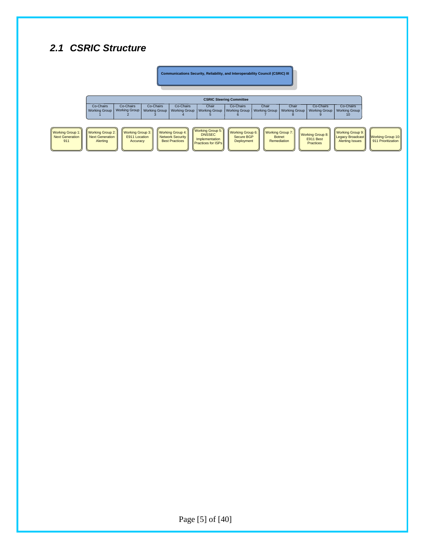## *2.1 CSRIC Structure*

**Communications Security, Reliability, and Interoperability Council (CSRIC) III** 



Page [5] of [40]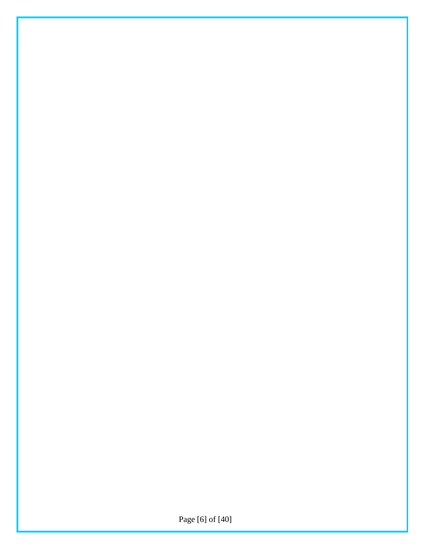Page [6] of [40]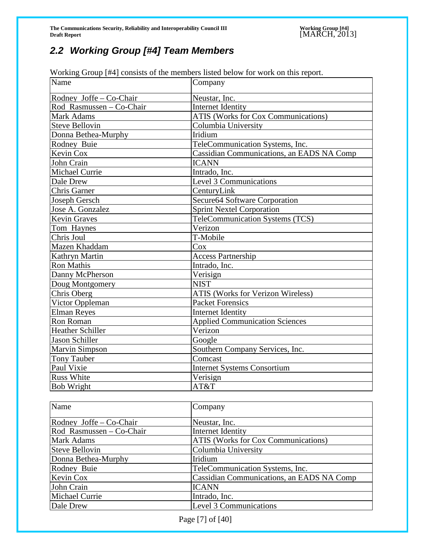## *2.2 Working Group [#4] Team Members*

Working Group [#4] consists of the members listed below for work on this report.

| Name                     | Company                                    |  |  |
|--------------------------|--------------------------------------------|--|--|
| Rodney Joffe - Co-Chair  | Neustar, Inc.                              |  |  |
| Rod Rasmussen - Co-Chair | <b>Internet Identity</b>                   |  |  |
| <b>Mark Adams</b>        | <b>ATIS (Works for Cox Communications)</b> |  |  |
| <b>Steve Bellovin</b>    | Columbia University                        |  |  |
| Donna Bethea-Murphy      | <b>Iridium</b>                             |  |  |
| Rodney Buie              | TeleCommunication Systems, Inc.            |  |  |
| Kevin Cox                | Cassidian Communications, an EADS NA Comp  |  |  |
| John Crain               | <b>ICANN</b>                               |  |  |
| Michael Currie           | Intrado, Inc.                              |  |  |
| Dale Drew                | Level 3 Communications                     |  |  |
| Chris Garner             | CenturyLink                                |  |  |
| Joseph Gersch            | Secure64 Software Corporation              |  |  |
| Jose A. Gonzalez         | <b>Sprint Nextel Corporation</b>           |  |  |
| <b>Kevin Graves</b>      | TeleCommunication Systems (TCS)            |  |  |
| Tom Haynes               | Verizon                                    |  |  |
| Chris Joul               | T-Mobile                                   |  |  |
| Mazen Khaddam            | Cox                                        |  |  |
| Kathryn Martin           | <b>Access Partnership</b>                  |  |  |
| <b>Ron Mathis</b>        | Intrado, Inc.                              |  |  |
| Danny McPherson          | Verisign                                   |  |  |
| Doug Montgomery          | <b>NIST</b>                                |  |  |
| Chris Oberg              | ATIS (Works for Verizon Wireless)          |  |  |
| Victor Oppleman          | <b>Packet Forensics</b>                    |  |  |
| <b>Elman Reyes</b>       | <b>Internet Identity</b>                   |  |  |
| Ron Roman                | <b>Applied Communication Sciences</b>      |  |  |
| <b>Heather Schiller</b>  | Verizon                                    |  |  |
| Jason Schiller           | Google                                     |  |  |
| <b>Marvin Simpson</b>    | Southern Company Services, Inc.            |  |  |
| <b>Tony Tauber</b>       | Comcast                                    |  |  |
| Paul Vixie               | <b>Internet Systems Consortium</b>         |  |  |
| <b>Russ White</b>        | Verisign                                   |  |  |
| <b>Bob Wright</b>        | AT&T                                       |  |  |

| Name                      | Company                                   |
|---------------------------|-------------------------------------------|
| Rodney Joffe – $Co-Chair$ | Neustar, Inc.                             |
| Rod Rasmussen - Co-Chair  | Internet Identity                         |
| <b>Mark Adams</b>         | ATIS (Works for Cox Communications)       |
| Steve Bellovin            | Columbia University                       |
| Donna Bethea-Murphy       | Iridium                                   |
| Rodney Buie               | TeleCommunication Systems, Inc.           |
| <b>Kevin Cox</b>          | Cassidian Communications, an EADS NA Comp |
| John Crain                | <b>ICANN</b>                              |
| Michael Currie            | Intrado, Inc.                             |
| Dale Drew                 | Level 3 Communications                    |

Page [7] of [40]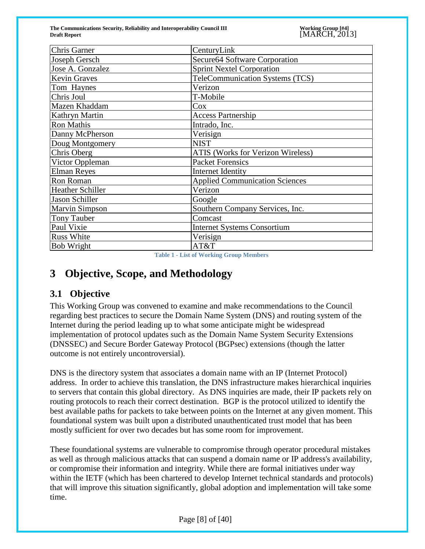| <b>Chris Garner</b>     | CenturyLink                              |  |
|-------------------------|------------------------------------------|--|
| Joseph Gersch           | Secure64 Software Corporation            |  |
| Jose A. Gonzalez        | <b>Sprint Nextel Corporation</b>         |  |
| <b>Kevin Graves</b>     | TeleCommunication Systems (TCS)          |  |
| Tom Haynes              | Verizon                                  |  |
| Chris Joul              | T-Mobile                                 |  |
| Mazen Khaddam           | Cox                                      |  |
| Kathryn Martin          | <b>Access Partnership</b>                |  |
| <b>Ron Mathis</b>       | Intrado, Inc.                            |  |
| Danny McPherson         | Verisign                                 |  |
| Doug Montgomery         | <b>NIST</b>                              |  |
| Chris Oberg             | <b>ATIS (Works for Verizon Wireless)</b> |  |
| Victor Oppleman         | <b>Packet Forensics</b>                  |  |
| <b>Elman Reyes</b>      | <b>Internet Identity</b>                 |  |
| Ron Roman               | <b>Applied Communication Sciences</b>    |  |
| <b>Heather Schiller</b> | Verizon                                  |  |
| Jason Schiller          | Google                                   |  |
| Marvin Simpson          | Southern Company Services, Inc.          |  |
| <b>Tony Tauber</b>      | Comcast                                  |  |
| Paul Vixie              | <b>Internet Systems Consortium</b>       |  |
| <b>Russ White</b>       | Verisign                                 |  |
| <b>Bob Wright</b>       | AT&T                                     |  |

**Table 1 - List of Working Group Members**

## **3 Objective, Scope, and Methodology**

#### **3.1 Objective**

This Working Group was convened to examine and make recommendations to the Council regarding best practices to secure the Domain Name System (DNS) and routing system of the Internet during the period leading up to what some anticipate might be widespread implementation of protocol updates such as the Domain Name System Security Extensions (DNSSEC) and Secure Border Gateway Protocol (BGPsec) extensions (though the latter outcome is not entirely uncontroversial).

DNS is the directory system that associates a domain name with an IP (Internet Protocol) address. In order to achieve this translation, the DNS infrastructure makes hierarchical inquiries to servers that contain this global directory. As DNS inquiries are made, their IP packets rely on routing protocols to reach their correct destination. BGP is the protocol utilized to identify the best available paths for packets to take between points on the Internet at any given moment. This foundational system was built upon a distributed unauthenticated trust model that has been mostly sufficient for over two decades but has some room for improvement.

These foundational systems are vulnerable to compromise through operator procedural mistakes as well as through malicious attacks that can suspend a domain name or IP address's availability, or compromise their information and integrity. While there are formal initiatives under way within the IETF (which has been chartered to develop Internet technical standards and protocols) that will improve this situation significantly, global adoption and implementation will take some time.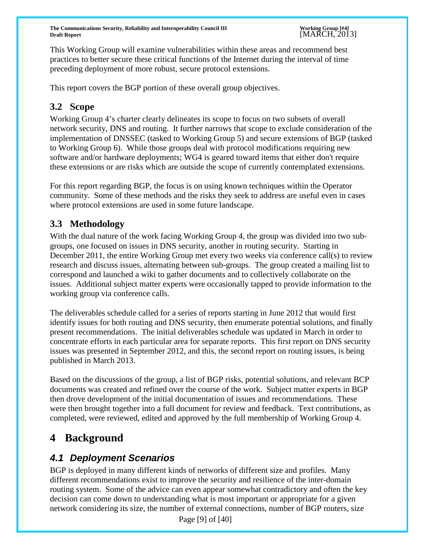This Working Group will examine vulnerabilities within these areas and recommend best practices to better secure these critical functions of the Internet during the interval of time preceding deployment of more robust, secure protocol extensions.

This report covers the BGP portion of these overall group objectives.

## **3.2 Scope**

Working Group 4's charter clearly delineates its scope to focus on two subsets of overall network security, DNS and routing. It further narrows that scope to exclude consideration of the implementation of DNSSEC (tasked to Working Group 5) and secure extensions of BGP (tasked to Working Group 6). While those groups deal with protocol modifications requiring new software and/or hardware deployments; WG4 is geared toward items that either don't require these extensions or are risks which are outside the scope of currently contemplated extensions.

For this report regarding BGP, the focus is on using known techniques within the Operator community. Some of these methods and the risks they seek to address are useful even in cases where protocol extensions are used in some future landscape.

## **3.3 Methodology**

With the dual nature of the work facing Working Group 4, the group was divided into two subgroups, one focused on issues in DNS security, another in routing security. Starting in December 2011, the entire Working Group met every two weeks via conference call(s) to review research and discuss issues, alternating between sub-groups. The group created a mailing list to correspond and launched a wiki to gather documents and to collectively collaborate on the issues. Additional subject matter experts were occasionally tapped to provide information to the working group via conference calls.

The deliverables schedule called for a series of reports starting in June 2012 that would first identify issues for both routing and DNS security, then enumerate potential solutions, and finally present recommendations. The initial deliverables schedule was updated in March in order to concentrate efforts in each particular area for separate reports. This first report on DNS security issues was presented in September 2012, and this, the second report on routing issues, is being published in March 2013.

Based on the discussions of the group, a list of BGP risks, potential solutions, and relevant BCP documents was created and refined over the course of the work. Subject matter experts in BGP then drove development of the initial documentation of issues and recommendations. These were then brought together into a full document for review and feedback. Text contributions, as completed, were reviewed, edited and approved by the full membership of Working Group 4.

## **4 Background**

## *4.1 Deployment Scenarios*

BGP is deployed in many different kinds of networks of different size and profiles. Many different recommendations exist to improve the security and resilience of the inter-domain routing system. Some of the advice can even appear somewhat contradictory and often the key decision can come down to understanding what is most important or appropriate for a given network considering its size, the number of external connections, number of BGP routers, size

Page [9] of [40]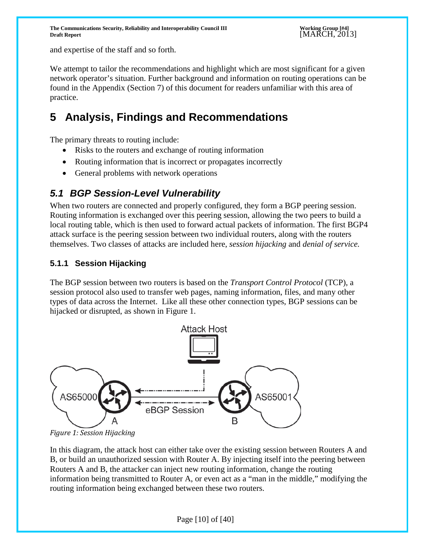and expertise of the staff and so forth.

We attempt to tailor the recommendations and highlight which are most significant for a given network operator's situation. Further background and information on routing operations can be found in the Appendix (Section 7) of this document for readers unfamiliar with this area of practice.

# **5 Analysis, Findings and Recommendations**

The primary threats to routing include:

- Risks to the routers and exchange of routing information
- Routing information that is incorrect or propagates incorrectly
- General problems with network operations

## *5.1 BGP Session-Level Vulnerability*

When two routers are connected and properly configured, they form a BGP peering session. Routing information is exchanged over this peering session, allowing the two peers to build a local routing table, which is then used to forward actual packets of information. The first BGP4 attack surface is the peering session between two individual routers, along with the routers themselves. Two classes of attacks are included here, *session hijacking* and *denial of service.*

#### **5.1.1 Session Hijacking**

The BGP session between two routers is based on the *Transport Control Protocol* (TCP), a session protocol also used to transfer web pages, naming information, files, and many other types of data across the Internet. Like all these other connection types, BGP sessions can be hijacked or disrupted, as shown in Figure 1.



*Figure 1: Session Hijacking*

In this diagram, the attack host can either take over the existing session between Routers A and B, or build an unauthorized session with Router A. By injecting itself into the peering between Routers A and B, the attacker can inject new routing information, change the routing information being transmitted to Router A, or even act as a "man in the middle," modifying the routing information being exchanged between these two routers.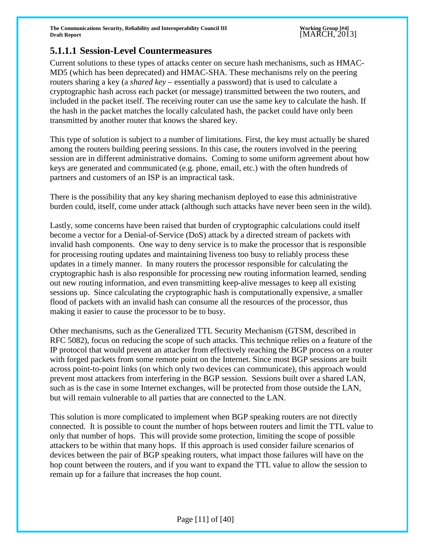#### **5.1.1.1 Session-Level Countermeasures**

Current solutions to these types of attacks center on secure hash mechanisms, such as HMAC-MD5 (which has been deprecated) and HMAC-SHA. These mechanisms rely on the peering routers sharing a key (a *shared key* – essentially a password) that is used to calculate a cryptographic hash across each packet (or message) transmitted between the two routers, and included in the packet itself. The receiving router can use the same key to calculate the hash. If the hash in the packet matches the locally calculated hash, the packet could have only been transmitted by another router that knows the shared key.

This type of solution is subject to a number of limitations. First, the key must actually be shared among the routers building peering sessions. In this case, the routers involved in the peering session are in different administrative domains. Coming to some uniform agreement about how keys are generated and communicated (e.g. phone, email, etc.) with the often hundreds of partners and customers of an ISP is an impractical task.

There is the possibility that any key sharing mechanism deployed to ease this administrative burden could, itself, come under attack (although such attacks have never been seen in the wild).

Lastly, some concerns have been raised that burden of cryptographic calculations could itself become a vector for a Denial-of-Service (DoS) attack by a directed stream of packets with invalid hash components. One way to deny service is to make the processor that is responsible for processing routing updates and maintaining liveness too busy to reliably process these updates in a timely manner. In many routers the processor responsible for calculating the cryptographic hash is also responsible for processing new routing information learned, sending out new routing information, and even transmitting keep-alive messages to keep all existing sessions up. Since calculating the cryptographic hash is computationally expensive, a smaller flood of packets with an invalid hash can consume all the resources of the processor, thus making it easier to cause the processor to be to busy.

Other mechanisms, such as the Generalized TTL Security Mechanism (GTSM, described in RFC 5082), focus on reducing the scope of such attacks. This technique relies on a feature of the IP protocol that would prevent an attacker from effectively reaching the BGP process on a router with forged packets from some remote point on the Internet. Since most BGP sessions are built across point-to-point links (on which only two devices can communicate), this approach would prevent most attackers from interfering in the BGP session. Sessions built over a shared LAN, such as is the case in some Internet exchanges, will be protected from those outside the LAN, but will remain vulnerable to all parties that are connected to the LAN.

This solution is more complicated to implement when BGP speaking routers are not directly connected. It is possible to count the number of hops between routers and limit the TTL value to only that number of hops. This will provide some protection, limiting the scope of possible attackers to be within that many hops. If this approach is used consider failure scenarios of devices between the pair of BGP speaking routers, what impact those failures will have on the hop count between the routers, and if you want to expand the TTL value to allow the session to remain up for a failure that increases the hop count.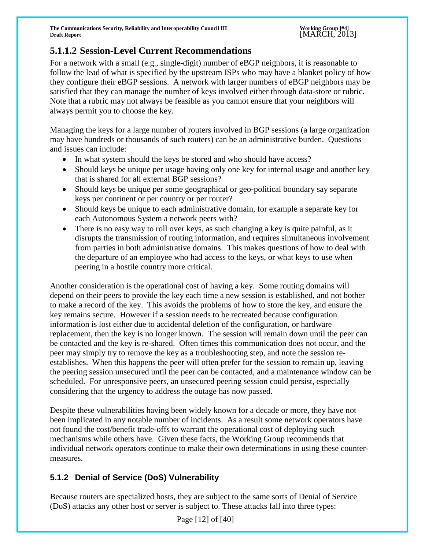## **5.1.1.2 Session-Level Current Recommendations**

For a network with a small (e.g., single-digit) number of eBGP neighbors, it is reasonable to follow the lead of what is specified by the upstream ISPs who may have a blanket policy of how they configure their eBGP sessions. A network with larger numbers of eBGP neighbors may be satisfied that they can manage the number of keys involved either through data-store or rubric. Note that a rubric may not always be feasible as you cannot ensure that your neighbors will always permit you to choose the key.

Managing the keys for a large number of routers involved in BGP sessions (a large organization may have hundreds or thousands of such routers) can be an administrative burden. Questions and issues can include:

- In what system should the keys be stored and who should have access?
- Should keys be unique per usage having only one key for internal usage and another key that is shared for all external BGP sessions?
- Should keys be unique per some geographical or geo-political boundary say separate keys per continent or per country or per router?
- Should keys be unique to each administrative domain, for example a separate key for each Autonomous System a network peers with?
- There is no easy way to roll over keys, as such changing a key is quite painful, as it disrupts the transmission of routing information, and requires simultaneous involvement from parties in both administrative domains. This makes questions of how to deal with the departure of an employee who had access to the keys, or what keys to use when peering in a hostile country more critical.

Another consideration is the operational cost of having a key. Some routing domains will depend on their peers to provide the key each time a new session is established, and not bother to make a record of the key. This avoids the problems of how to store the key, and ensure the key remains secure. However if a session needs to be recreated because configuration information is lost either due to accidental deletion of the configuration, or hardware replacement, then the key is no longer known. The session will remain down until the peer can be contacted and the key is re-shared. Often times this communication does not occur, and the peer may simply try to remove the key as a troubleshooting step, and note the session reestablishes. When this happens the peer will often prefer for the session to remain up, leaving the peering session unsecured until the peer can be contacted, and a maintenance window can be scheduled. For unresponsive peers, an unsecured peering session could persist, especially considering that the urgency to address the outage has now passed.

Despite these vulnerabilities having been widely known for a decade or more, they have not been implicated in any notable number of incidents. As a result some network operators have not found the cost/benefit trade-offs to warrant the operational cost of deploying such mechanisms while others have. Given these facts, the Working Group recommends that individual network operators continue to make their own determinations in using these countermeasures.

## **5.1.2 Denial of Service (DoS) Vulnerability**

Because routers are specialized hosts, they are subject to the same sorts of Denial of Service (DoS) attacks any other host or server is subject to. These attacks fall into three types:

Page [12] of [40]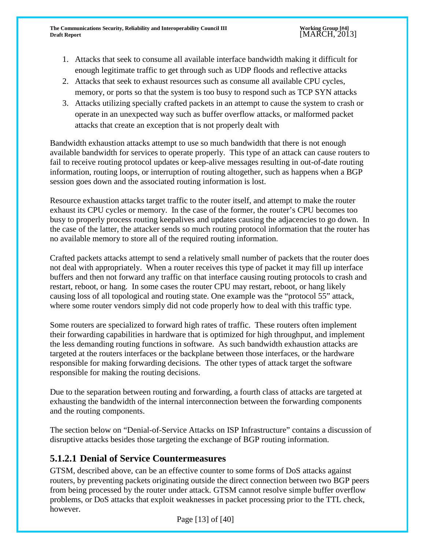- 1. Attacks that seek to consume all available interface bandwidth making it difficult for enough legitimate traffic to get through such as UDP floods and reflective attacks
- 2. Attacks that seek to exhaust resources such as consume all available CPU cycles, memory, or ports so that the system is too busy to respond such as TCP SYN attacks
- 3. Attacks utilizing specially crafted packets in an attempt to cause the system to crash or operate in an unexpected way such as buffer overflow attacks, or malformed packet attacks that create an exception that is not properly dealt with

Bandwidth exhaustion attacks attempt to use so much bandwidth that there is not enough available bandwidth for services to operate properly. This type of an attack can cause routers to fail to receive routing protocol updates or keep-alive messages resulting in out-of-date routing information, routing loops, or interruption of routing altogether, such as happens when a BGP session goes down and the associated routing information is lost.

Resource exhaustion attacks target traffic to the router itself, and attempt to make the router exhaust its CPU cycles or memory. In the case of the former, the router's CPU becomes too busy to properly process routing keepalives and updates causing the adjacencies to go down. In the case of the latter, the attacker sends so much routing protocol information that the router has no available memory to store all of the required routing information.

Crafted packets attacks attempt to send a relatively small number of packets that the router does not deal with appropriately. When a router receives this type of packet it may fill up interface buffers and then not forward any traffic on that interface causing routing protocols to crash and restart, reboot, or hang. In some cases the router CPU may restart, reboot, or hang likely causing loss of all topological and routing state. One example was the "protocol 55" attack, where some router vendors simply did not code properly how to deal with this traffic type.

Some routers are specialized to forward high rates of traffic. These routers often implement their forwarding capabilities in hardware that is optimized for high throughput, and implement the less demanding routing functions in software. As such bandwidth exhaustion attacks are targeted at the routers interfaces or the backplane between those interfaces, or the hardware responsible for making forwarding decisions. The other types of attack target the software responsible for making the routing decisions.

Due to the separation between routing and forwarding, a fourth class of attacks are targeted at exhausting the bandwidth of the internal interconnection between the forwarding components and the routing components.

The section below on "Denial-of-Service Attacks on ISP Infrastructure" contains a discussion of disruptive attacks besides those targeting the exchange of BGP routing information.

## **5.1.2.1 Denial of Service Countermeasures**

GTSM, described above, can be an effective counter to some forms of DoS attacks against routers, by preventing packets originating outside the direct connection between two BGP peers from being processed by the router under attack. GTSM cannot resolve simple buffer overflow problems, or DoS attacks that exploit weaknesses in packet processing prior to the TTL check, however.

Page [13] of [40]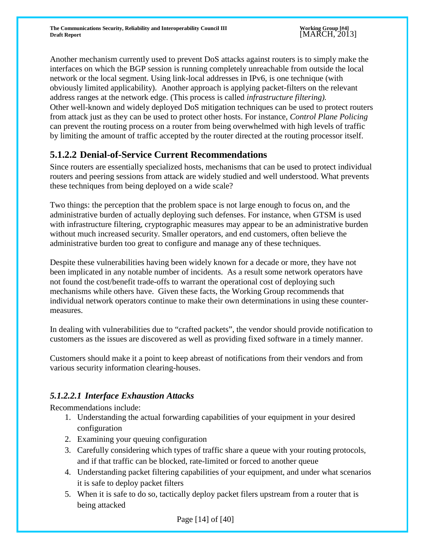Another mechanism currently used to prevent DoS attacks against routers is to simply make the interfaces on which the BGP session is running completely unreachable from outside the local network or the local segment. Using link-local addresses in IPv6, is one technique (with obviously limited applicability). Another approach is applying packet-filters on the relevant address ranges at the network edge. (This process is called *infrastructure filtering).* Other well-known and widely deployed DoS mitigation techniques can be used to protect routers from attack just as they can be used to protect other hosts. For instance, *Control Plane Policing* can prevent the routing process on a router from being overwhelmed with high levels of traffic by limiting the amount of traffic accepted by the router directed at the routing processor itself.

#### **5.1.2.2 Denial-of-Service Current Recommendations**

Since routers are essentially specialized hosts, mechanisms that can be used to protect individual routers and peering sessions from attack are widely studied and well understood. What prevents these techniques from being deployed on a wide scale?

Two things: the perception that the problem space is not large enough to focus on, and the administrative burden of actually deploying such defenses. For instance, when GTSM is used with infrastructure filtering, cryptographic measures may appear to be an administrative burden without much increased security. Smaller operators, and end customers, often believe the administrative burden too great to configure and manage any of these techniques.

Despite these vulnerabilities having been widely known for a decade or more, they have not been implicated in any notable number of incidents. As a result some network operators have not found the cost/benefit trade-offs to warrant the operational cost of deploying such mechanisms while others have. Given these facts, the Working Group recommends that individual network operators continue to make their own determinations in using these countermeasures.

In dealing with vulnerabilities due to "crafted packets", the vendor should provide notification to customers as the issues are discovered as well as providing fixed software in a timely manner.

Customers should make it a point to keep abreast of notifications from their vendors and from various security information clearing-houses.

## *5.1.2.2.1 Interface Exhaustion Attacks*

Recommendations include:

- 1. Understanding the actual forwarding capabilities of your equipment in your desired configuration
- 2. Examining your queuing configuration
- 3. Carefully considering which types of traffic share a queue with your routing protocols, and if that traffic can be blocked, rate-limited or forced to another queue
- 4. Understanding packet filtering capabilities of your equipment, and under what scenarios it is safe to deploy packet filters
- 5. When it is safe to do so, tactically deploy packet filers upstream from a router that is being attacked

Page [14] of [40]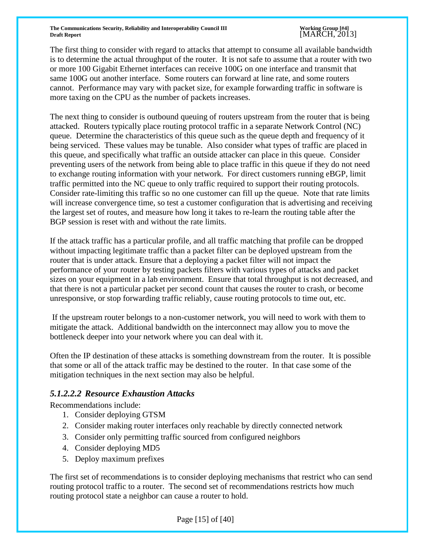The first thing to consider with regard to attacks that attempt to consume all available bandwidth is to determine the actual throughput of the router. It is not safe to assume that a router with two or more 100 Gigabit Ethernet interfaces can receive 100G on one interface and transmit that same 100G out another interface. Some routers can forward at line rate, and some routers cannot. Performance may vary with packet size, for example forwarding traffic in software is more taxing on the CPU as the number of packets increases.

The next thing to consider is outbound queuing of routers upstream from the router that is being attacked. Routers typically place routing protocol traffic in a separate Network Control (NC) queue. Determine the characteristics of this queue such as the queue depth and frequency of it being serviced. These values may be tunable. Also consider what types of traffic are placed in this queue, and specifically what traffic an outside attacker can place in this queue. Consider preventing users of the network from being able to place traffic in this queue if they do not need to exchange routing information with your network. For direct customers running eBGP, limit traffic permitted into the NC queue to only traffic required to support their routing protocols. Consider rate-limiting this traffic so no one customer can fill up the queue. Note that rate limits will increase convergence time, so test a customer configuration that is advertising and receiving the largest set of routes, and measure how long it takes to re-learn the routing table after the BGP session is reset with and without the rate limits.

If the attack traffic has a particular profile, and all traffic matching that profile can be dropped without impacting legitimate traffic than a packet filter can be deployed upstream from the router that is under attack. Ensure that a deploying a packet filter will not impact the performance of your router by testing packets filters with various types of attacks and packet sizes on your equipment in a lab environment. Ensure that total throughput is not decreased, and that there is not a particular packet per second count that causes the router to crash, or become unresponsive, or stop forwarding traffic reliably, cause routing protocols to time out, etc.

If the upstream router belongs to a non-customer network, you will need to work with them to mitigate the attack. Additional bandwidth on the interconnect may allow you to move the bottleneck deeper into your network where you can deal with it.

Often the IP destination of these attacks is something downstream from the router. It is possible that some or all of the attack traffic may be destined to the router. In that case some of the mitigation techniques in the next section may also be helpful.

#### *5.1.2.2.2 Resource Exhaustion Attacks*

Recommendations include:

- 1. Consider deploying GTSM
- 2. Consider making router interfaces only reachable by directly connected network
- 3. Consider only permitting traffic sourced from configured neighbors
- 4. Consider deploying MD5
- 5. Deploy maximum prefixes

The first set of recommendations is to consider deploying mechanisms that restrict who can send routing protocol traffic to a router. The second set of recommendations restricts how much routing protocol state a neighbor can cause a router to hold.

Page [15] of [40]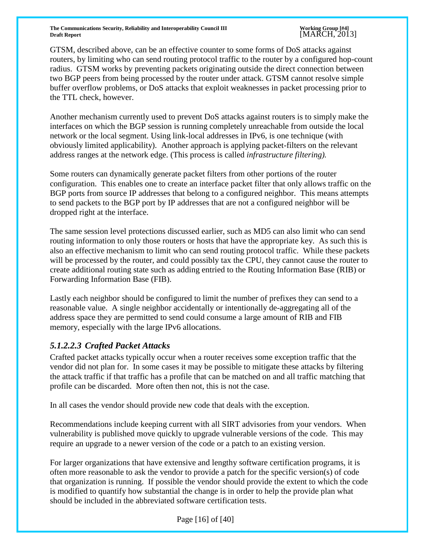GTSM, described above, can be an effective counter to some forms of DoS attacks against routers, by limiting who can send routing protocol traffic to the router by a configured hop-count radius. GTSM works by preventing packets originating outside the direct connection between two BGP peers from being processed by the router under attack. GTSM cannot resolve simple buffer overflow problems, or DoS attacks that exploit weaknesses in packet processing prior to the TTL check, however.

Another mechanism currently used to prevent DoS attacks against routers is to simply make the interfaces on which the BGP session is running completely unreachable from outside the local network or the local segment. Using link-local addresses in IPv6, is one technique (with obviously limited applicability). Another approach is applying packet-filters on the relevant address ranges at the network edge. (This process is called *infrastructure filtering).*

Some routers can dynamically generate packet filters from other portions of the router configuration. This enables one to create an interface packet filter that only allows traffic on the BGP ports from source IP addresses that belong to a configured neighbor. This means attempts to send packets to the BGP port by IP addresses that are not a configured neighbor will be dropped right at the interface.

The same session level protections discussed earlier, such as MD5 can also limit who can send routing information to only those routers or hosts that have the appropriate key. As such this is also an effective mechanism to limit who can send routing protocol traffic. While these packets will be processed by the router, and could possibly tax the CPU, they cannot cause the router to create additional routing state such as adding entried to the Routing Information Base (RIB) or Forwarding Information Base (FIB).

Lastly each neighbor should be configured to limit the number of prefixes they can send to a reasonable value. A single neighbor accidentally or intentionally de-aggregating all of the address space they are permitted to send could consume a large amount of RIB and FIB memory, especially with the large IPv6 allocations.

#### *5.1.2.2.3 Crafted Packet Attacks*

Crafted packet attacks typically occur when a router receives some exception traffic that the vendor did not plan for. In some cases it may be possible to mitigate these attacks by filtering the attack traffic if that traffic has a profile that can be matched on and all traffic matching that profile can be discarded. More often then not, this is not the case.

In all cases the vendor should provide new code that deals with the exception.

Recommendations include keeping current with all SIRT advisories from your vendors. When vulnerability is published move quickly to upgrade vulnerable versions of the code. This may require an upgrade to a newer version of the code or a patch to an existing version.

For larger organizations that have extensive and lengthy software certification programs, it is often more reasonable to ask the vendor to provide a patch for the specific version(s) of code that organization is running. If possible the vendor should provide the extent to which the code is modified to quantify how substantial the change is in order to help the provide plan what should be included in the abbreviated software certification tests.

Page [16] of [40]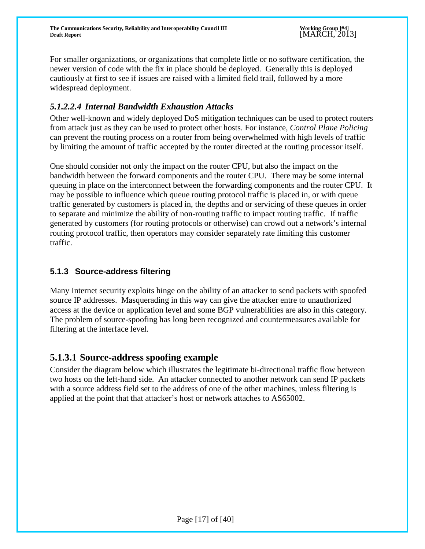For smaller organizations, or organizations that complete little or no software certification, the newer version of code with the fix in place should be deployed. Generally this is deployed cautiously at first to see if issues are raised with a limited field trail, followed by a more widespread deployment.

#### *5.1.2.2.4 Internal Bandwidth Exhaustion Attacks*

Other well-known and widely deployed DoS mitigation techniques can be used to protect routers from attack just as they can be used to protect other hosts. For instance, *Control Plane Policing* can prevent the routing process on a router from being overwhelmed with high levels of traffic by limiting the amount of traffic accepted by the router directed at the routing processor itself.

One should consider not only the impact on the router CPU, but also the impact on the bandwidth between the forward components and the router CPU. There may be some internal queuing in place on the interconnect between the forwarding components and the router CPU. It may be possible to influence which queue routing protocol traffic is placed in, or with queue traffic generated by customers is placed in, the depths and or servicing of these queues in order to separate and minimize the ability of non-routing traffic to impact routing traffic. If traffic generated by customers (for routing protocols or otherwise) can crowd out a network's internal routing protocol traffic, then operators may consider separately rate limiting this customer traffic.

#### **5.1.3 Source-address filtering**

Many Internet security exploits hinge on the ability of an attacker to send packets with spoofed source IP addresses. Masquerading in this way can give the attacker entre to unauthorized access at the device or application level and some BGP vulnerabilities are also in this category. The problem of source-spoofing has long been recognized and countermeasures available for filtering at the interface level.

#### **5.1.3.1 Source-address spoofing example**

Consider the diagram below which illustrates the legitimate bi-directional traffic flow between two hosts on the left-hand side. An attacker connected to another network can send IP packets with a source address field set to the address of one of the other machines, unless filtering is applied at the point that that attacker's host or network attaches to AS65002.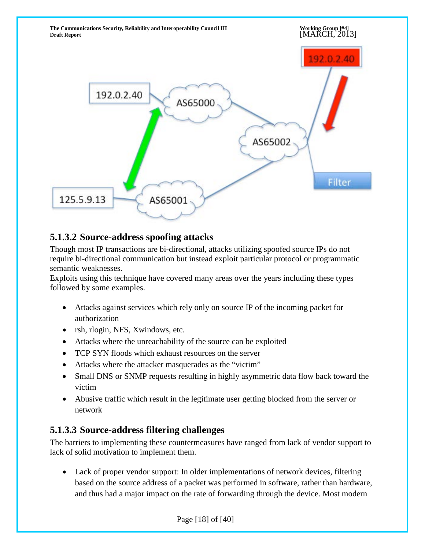

## **5.1.3.2 Source-address spoofing attacks**

Though most IP transactions are bi-directional, attacks utilizing spoofed source IPs do not require bi-directional communication but instead exploit particular protocol or programmatic semantic weaknesses.

Exploits using this technique have covered many areas over the years including these types followed by some examples.

- Attacks against services which rely only on source IP of the incoming packet for authorization
- rsh, rlogin, NFS, Xwindows, etc.
- Attacks where the unreachability of the source can be exploited
- TCP SYN floods which exhaust resources on the server
- Attacks where the attacker masquerades as the "victim"
- Small DNS or SNMP requests resulting in highly asymmetric data flow back toward the victim
- Abusive traffic which result in the legitimate user getting blocked from the server or network

## **5.1.3.3 Source-address filtering challenges**

The barriers to implementing these countermeasures have ranged from lack of vendor support to lack of solid motivation to implement them.

• Lack of proper vendor support: In older implementations of network devices, filtering based on the source address of a packet was performed in software, rather than hardware, and thus had a major impact on the rate of forwarding through the device. Most modern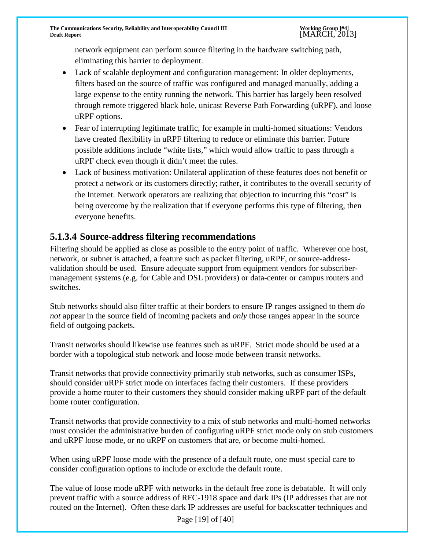network equipment can perform source filtering in the hardware switching path, eliminating this barrier to deployment.

- Lack of scalable deployment and configuration management: In older deployments, filters based on the source of traffic was configured and managed manually, adding a large expense to the entity running the network. This barrier has largely been resolved through remote triggered black hole, unicast Reverse Path Forwarding (uRPF), and loose uRPF options.
- Fear of interrupting legitimate traffic, for example in multi-homed situations: Vendors have created flexibility in uRPF filtering to reduce or eliminate this barrier. Future possible additions include "white lists," which would allow traffic to pass through a uRPF check even though it didn't meet the rules.
- Lack of business motivation: Unilateral application of these features does not benefit or protect a network or its customers directly; rather, it contributes to the overall security of the Internet. Network operators are realizing that objection to incurring this "cost" is being overcome by the realization that if everyone performs this type of filtering, then everyone benefits.

## **5.1.3.4 Source-address filtering recommendations**

Filtering should be applied as close as possible to the entry point of traffic. Wherever one host, network, or subnet is attached, a feature such as packet filtering, uRPF, or source-addressvalidation should be used. Ensure adequate support from equipment vendors for subscribermanagement systems (e.g. for Cable and DSL providers) or data-center or campus routers and switches.

Stub networks should also filter traffic at their borders to ensure IP ranges assigned to them *do not* appear in the source field of incoming packets and *only* those ranges appear in the source field of outgoing packets.

Transit networks should likewise use features such as uRPF. Strict mode should be used at a border with a topological stub network and loose mode between transit networks.

Transit networks that provide connectivity primarily stub networks, such as consumer ISPs, should consider uRPF strict mode on interfaces facing their customers. If these providers provide a home router to their customers they should consider making uRPF part of the default home router configuration.

Transit networks that provide connectivity to a mix of stub networks and multi-homed networks must consider the administrative burden of configuring uRPF strict mode only on stub customers and uRPF loose mode, or no uRPF on customers that are, or become multi-homed.

When using uRPF loose mode with the presence of a default route, one must special care to consider configuration options to include or exclude the default route.

The value of loose mode uRPF with networks in the default free zone is debatable. It will only prevent traffic with a source address of RFC-1918 space and dark IPs (IP addresses that are not routed on the Internet). Often these dark IP addresses are useful for backscatter techniques and

Page [19] of [40]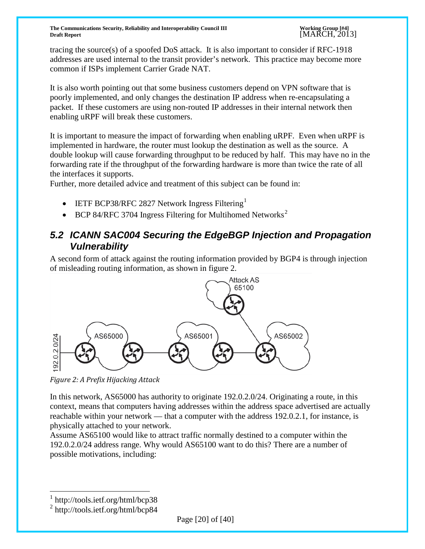**The Communications Security, Reliability and Interoperability Council III Working Group [#4] Draft Report** [MARCH, 2013]

tracing the source(s) of a spoofed DoS attack. It is also important to consider if RFC-1918 addresses are used internal to the transit provider's network. This practice may become more common if ISPs implement Carrier Grade NAT.

It is also worth pointing out that some business customers depend on VPN software that is poorly implemented, and only changes the destination IP address when re-encapsulating a packet. If these customers are using non-routed IP addresses in their internal network then enabling uRPF will break these customers.

It is important to measure the impact of forwarding when enabling uRPF. Even when uRPF is implemented in hardware, the router must lookup the destination as well as the source. A double lookup will cause forwarding throughput to be reduced by half. This may have no in the forwarding rate if the throughput of the forwarding hardware is more than twice the rate of all the interfaces it supports.

Further, more detailed advice and treatment of this subject can be found in:

- IETF BCP38/RFC 2827 Network Ingress Filtering<sup>[1](#page-2-0)</sup>
- BCP 84/RFC 3704 Ingress Filtering for Multihomed Networks<sup>[2](#page-19-0)</sup>

## *5.2 ICANN SAC004 Securing the EdgeBGP Injection and Propagation Vulnerability*

A second form of attack against the routing information provided by BGP4 is through injection of misleading routing information, as shown in figure 2.



*Figure 2: A Prefix Hijacking Attack*

In this network, AS65000 has authority to originate 192.0.2.0/24. Originating a route, in this context, means that computers having addresses within the address space advertised are actually reachable within your network — that a computer with the address 192.0.2.1, for instance, is physically attached to your network.

Assume AS65100 would like to attract traffic normally destined to a computer within the 192.0.2.0/24 address range. Why would AS65100 want to do this? There are a number of possible motivations, including:

 $1$  http://tools.ietf.org/html/bcp38

<span id="page-19-0"></span><sup>2</sup> http://tools.ietf.org/html/bcp84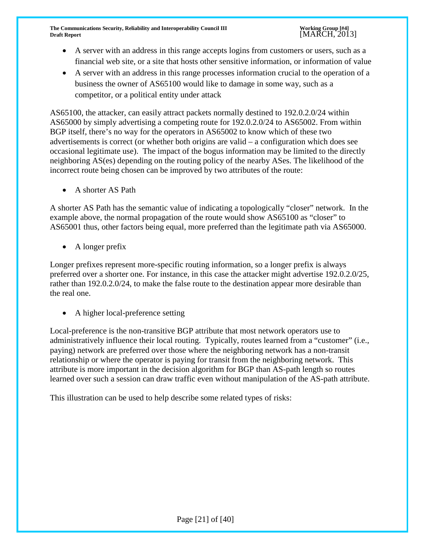The Communications Security, Reliability and Interoperability Council III **Draft Report** [MARCH, 2013]

- A server with an address in this range accepts logins from customers or users, such as a financial web site, or a site that hosts other sensitive information, or information of value
- A server with an address in this range processes information crucial to the operation of a business the owner of AS65100 would like to damage in some way, such as a competitor, or a political entity under attack

AS65100, the attacker, can easily attract packets normally destined to 192.0.2.0/24 within AS65000 by simply advertising a competing route for 192.0.2.0/24 to AS65002. From within BGP itself, there's no way for the operators in AS65002 to know which of these two advertisements is correct (or whether both origins are valid – a configuration which does see occasional legitimate use). The impact of the bogus information may be limited to the directly neighboring AS(es) depending on the routing policy of the nearby ASes. The likelihood of the incorrect route being chosen can be improved by two attributes of the route:

• A shorter AS Path

A shorter AS Path has the semantic value of indicating a topologically "closer" network. In the example above, the normal propagation of the route would show AS65100 as "closer" to AS65001 thus, other factors being equal, more preferred than the legitimate path via AS65000.

• A longer prefix

Longer prefixes represent more-specific routing information, so a longer prefix is always preferred over a shorter one. For instance, in this case the attacker might advertise 192.0.2.0/25, rather than 192.0.2.0/24, to make the false route to the destination appear more desirable than the real one.

• A higher local-preference setting

Local-preference is the non-transitive BGP attribute that most network operators use to administratively influence their local routing. Typically, routes learned from a "customer" (i.e., paying) network are preferred over those where the neighboring network has a non-transit relationship or where the operator is paying for transit from the neighboring network. This attribute is more important in the decision algorithm for BGP than AS-path length so routes learned over such a session can draw traffic even without manipulation of the AS-path attribute.

This illustration can be used to help describe some related types of risks: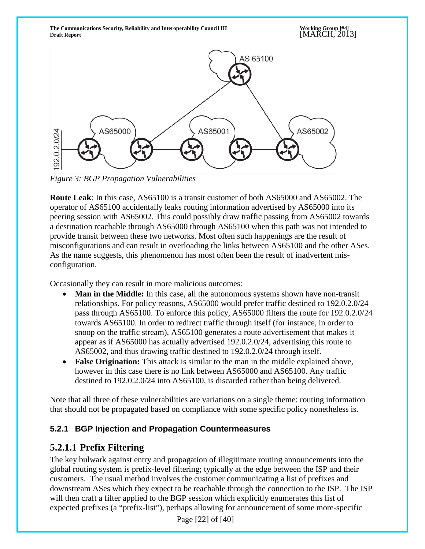

*Figure 3: BGP Propagation Vulnerabilities*

**Route Leak**: In this case, AS65100 is a transit customer of both AS65000 and AS65002. The operator of AS65100 accidentally leaks routing information advertised by AS65000 into its peering session with AS65002. This could possibly draw traffic passing from AS65002 towards a destination reachable through AS65000 through AS65100 when this path was not intended to provide transit between these two networks. Most often such happenings are the result of misconfigurations and can result in overloading the links between AS65100 and the other ASes. As the name suggests, this phenomenon has most often been the result of inadvertent misconfiguration.

Occasionally they can result in more malicious outcomes:

- **Man in the Middle:** In this case, all the autonomous systems shown have non-transit relationships. For policy reasons, AS65000 would prefer traffic destined to 192.0.2.0/24 pass through AS65100. To enforce this policy, AS65000 filters the route for 192.0.2.0/24 towards AS65100. In order to redirect traffic through itself (for instance, in order to snoop on the traffic stream), AS65100 generates a route advertisement that makes it appear as if AS65000 has actually advertised 192.0.2.0/24, advertising this route to AS65002, and thus drawing traffic destined to 192.0.2.0/24 through itself.
- **False Origination:** This attack is similar to the man in the middle explained above, however in this case there is no link between AS65000 and AS65100. Any traffic destined to 192.0.2.0/24 into AS65100, is discarded rather than being delivered.

Note that all three of these vulnerabilities are variations on a single theme: routing information that should not be propagated based on compliance with some specific policy nonetheless is.

#### **5.2.1 BGP Injection and Propagation Countermeasures**

## **5.2.1.1 Prefix Filtering**

The key bulwark against entry and propagation of illegitimate routing announcements into the global routing system is prefix-level filtering; typically at the edge between the ISP and their customers. The usual method involves the customer communicating a list of prefixes and downstream ASes which they expect to be reachable through the connection to the ISP. The ISP will then craft a filter applied to the BGP session which explicitly enumerates this list of expected prefixes (a "prefix-list"), perhaps allowing for announcement of some more-specific

Page [22] of [40]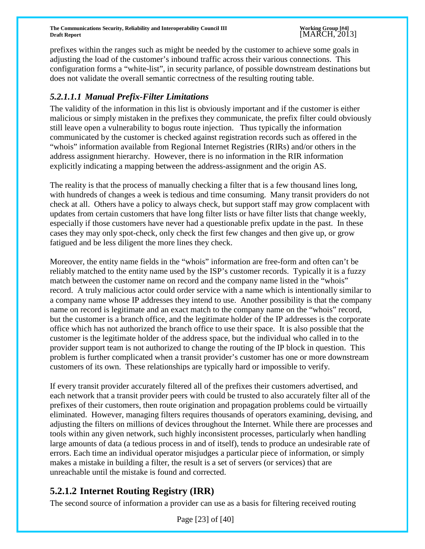prefixes within the ranges such as might be needed by the customer to achieve some goals in adjusting the load of the customer's inbound traffic across their various connections. This configuration forms a "white-list", in security parlance, of possible downstream destinations but does not validate the overall semantic correctness of the resulting routing table.

#### *5.2.1.1.1 Manual Prefix-Filter Limitations*

The validity of the information in this list is obviously important and if the customer is either malicious or simply mistaken in the prefixes they communicate, the prefix filter could obviously still leave open a vulnerability to bogus route injection. Thus typically the information communicated by the customer is checked against registration records such as offered in the "whois" information available from Regional Internet Registries (RIRs) and/or others in the address assignment hierarchy. However, there is no information in the RIR information explicitly indicating a mapping between the address-assignment and the origin AS.

The reality is that the process of manually checking a filter that is a few thousand lines long, with hundreds of changes a week is tedious and time consuming. Many transit providers do not check at all. Others have a policy to always check, but support staff may grow complacent with updates from certain customers that have long filter lists or have filter lists that change weekly, especially if those customers have never had a questionable prefix update in the past. In these cases they may only spot-check, only check the first few changes and then give up, or grow fatigued and be less diligent the more lines they check.

Moreover, the entity name fields in the "whois" information are free-form and often can't be reliably matched to the entity name used by the ISP's customer records. Typically it is a fuzzy match between the customer name on record and the company name listed in the "whois" record. A truly malicious actor could order service with a name which is intentionally similar to a company name whose IP addresses they intend to use. Another possibility is that the company name on record is legitimate and an exact match to the company name on the "whois" record, but the customer is a branch office, and the legitimate holder of the IP addresses is the corporate office which has not authorized the branch office to use their space. It is also possible that the customer is the legitimate holder of the address space, but the individual who called in to the provider support team is not authorized to change the routing of the IP block in question. This problem is further complicated when a transit provider's customer has one or more downstream customers of its own. These relationships are typically hard or impossible to verify.

If every transit provider accurately filtered all of the prefixes their customers advertised, and each network that a transit provider peers with could be trusted to also accurately filter all of the prefixes of their customers, then route origination and propagation problems could be virtuailly eliminated. However, managing filters requires thousands of operators examining, devising, and adjusting the filters on millions of devices throughout the Internet. While there are processes and tools within any given network, such highly inconsistent processes, particularly when handling large amounts of data (a tedious process in and of itself), tends to produce an undesirable rate of errors. Each time an individual operator misjudges a particular piece of information, or simply makes a mistake in building a filter, the result is a set of servers (or services) that are unreachable until the mistake is found and corrected.

## **5.2.1.2 Internet Routing Registry (IRR)**

The second source of information a provider can use as a basis for filtering received routing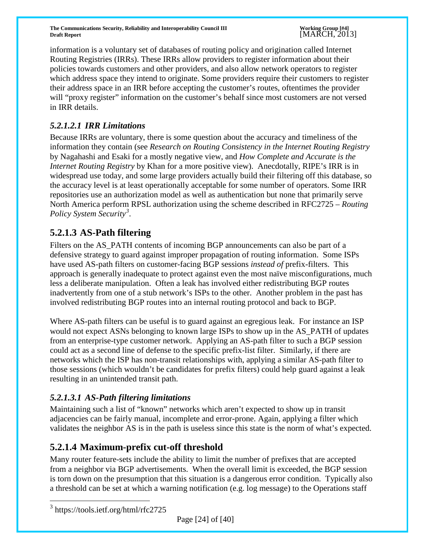information is a voluntary set of databases of routing policy and origination called Internet Routing Registries (IRRs). These IRRs allow providers to register information about their policies towards customers and other providers, and also allow network operators to register which address space they intend to originate. Some providers require their customers to register their address space in an IRR before accepting the customer's routes, oftentimes the provider will "proxy register" information on the customer's behalf since most customers are not versed in IRR details.

## *5.2.1.2.1 IRR Limitations*

Because IRRs are voluntary, there is some question about the accuracy and timeliness of the information they contain (see *Research on Routing Consistency in the Internet Routing Registry* by Nagahashi and Esaki for a mostly negative view, and *How Complete and Accurate is the Internet Routing Registry* by Khan for a more positive view). Anecdotally, RIPE's IRR is in widespread use today, and some large providers actually build their filtering off this database, so the accuracy level is at least operationally acceptable for some number of operators. Some IRR repositories use an authorization model as well as authentication but none that primarily serve North America perform RPSL authorization using the scheme described in RFC2725 – *Routing Policy System Security[3](#page-19-0)* .

## **5.2.1.3 AS-Path filtering**

Filters on the AS\_PATH contents of incoming BGP announcements can also be part of a defensive strategy to guard against improper propagation of routing information. Some ISPs have used AS-path filters on customer-facing BGP sessions *instead of* prefix-filters. This approach is generally inadequate to protect against even the most naïve misconfigurations, much less a deliberate manipulation. Often a leak has involved either redistributing BGP routes inadvertently from one of a stub network's ISPs to the other. Another problem in the past has involved redistributing BGP routes into an internal routing protocol and back to BGP.

Where AS-path filters can be useful is to guard against an egregious leak. For instance an ISP would not expect ASNs belonging to known large ISPs to show up in the AS\_PATH of updates from an enterprise-type customer network. Applying an AS-path filter to such a BGP session could act as a second line of defense to the specific prefix-list filter. Similarly, if there are networks which the ISP has non-transit relationships with, applying a similar AS-path filter to those sessions (which wouldn't be candidates for prefix filters) could help guard against a leak resulting in an unintended transit path.

## *5.2.1.3.1 AS-Path filtering limitations*

Maintaining such a list of "known" networks which aren't expected to show up in transit adjacencies can be fairly manual, incomplete and error-prone. Again, applying a filter which validates the neighbor AS is in the path is useless since this state is the norm of what's expected.

## **5.2.1.4 Maximum-prefix cut-off threshold**

Many router feature-sets include the ability to limit the number of prefixes that are accepted from a neighbor via BGP advertisements. When the overall limit is exceeded, the BGP session is torn down on the presumption that this situation is a dangerous error condition. Typically also a threshold can be set at which a warning notification (e.g. log message) to the Operations staff

<span id="page-23-0"></span> <sup>3</sup> https://tools.ietf.org/html/rfc2725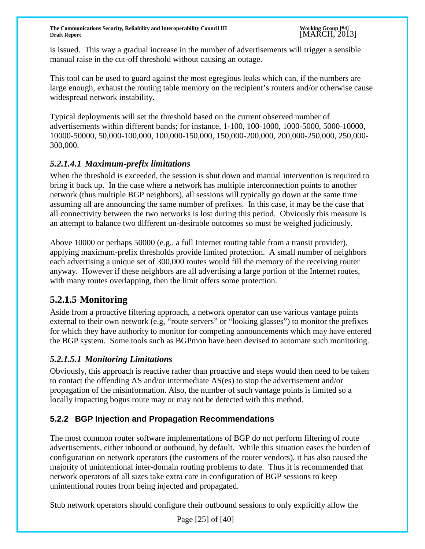is issued. This way a gradual increase in the number of advertisements will trigger a sensible manual raise in the cut-off threshold without causing an outage.

This tool can be used to guard against the most egregious leaks which can, if the numbers are large enough, exhaust the routing table memory on the recipient's routers and/or otherwise cause widespread network instability.

Typical deployments will set the threshold based on the current observed number of advertisements within different bands; for instance, 1-100, 100-1000, 1000-5000, 5000-10000, 10000-50000, 50,000-100,000, 100,000-150,000, 150,000-200,000, 200,000-250,000, 250,000- 300,000.

#### *5.2.1.4.1 Maximum-prefix limitations*

When the threshold is exceeded, the session is shut down and manual intervention is required to bring it back up. In the case where a network has multiple interconnection points to another network (thus multiple BGP neighbors), all sessions will typically go down at the same time assuming all are announcing the same number of prefixes. In this case, it may be the case that all connectivity between the two networks is lost during this period. Obviously this measure is an attempt to balance two different un-desirable outcomes so must be weighed judiciously.

Above 10000 or perhaps 50000 (e.g., a full Internet routing table from a transit provider), applying maximum-prefix thresholds provide limited protection. A small number of neighbors each advertising a unique set of 300,000 routes would fill the memory of the receiving router anyway. However if these neighbors are all advertising a large portion of the Internet routes, with many routes overlapping, then the limit offers some protection.

#### **5.2.1.5 Monitoring**

Aside from a proactive filtering approach, a network operator can use various vantage points external to their own network (e.g, "route servers" or "looking glasses") to monitor the prefixes for which they have authority to monitor for competing announcements which may have entered the BGP system. Some tools such as BGPmon have been devised to automate such monitoring.

#### *5.2.1.5.1 Monitoring Limitations*

Obviously, this approach is reactive rather than proactive and steps would then need to be taken to contact the offending AS and/or intermediate AS(es) to stop the advertisement and/or propagation of the misinformation. Also, the number of such vantage points is limited so a locally impacting bogus route may or may not be detected with this method.

#### **5.2.2 BGP Injection and Propagation Recommendations**

The most common router software implementations of BGP do not perform filtering of route advertisements, either inbound or outbound, by default. While this situation eases the burden of configuration on network operators (the customers of the router vendors), it has also caused the majority of unintentional inter-domain routing problems to date. Thus it is recommended that network operators of all sizes take extra care in configuration of BGP sessions to keep unintentional routes from being injected and propagated.

Stub network operators should configure their outbound sessions to only explicitly allow the

Page [25] of [40]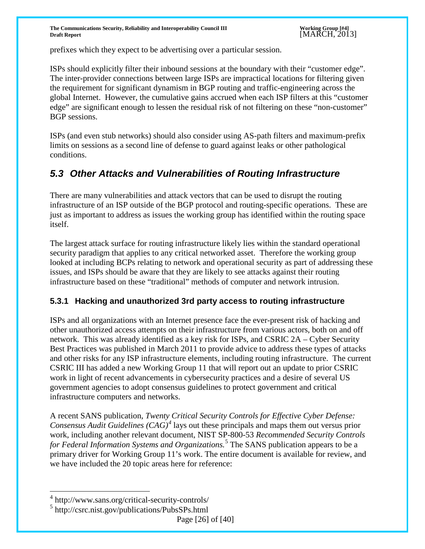prefixes which they expect to be advertising over a particular session.

ISPs should explicitly filter their inbound sessions at the boundary with their "customer edge". The inter-provider connections between large ISPs are impractical locations for filtering given the requirement for significant dynamism in BGP routing and traffic-engineering across the global Internet. However, the cumulative gains accrued when each ISP filters at this "customer edge" are significant enough to lessen the residual risk of not filtering on these "non-customer" BGP sessions.

ISPs (and even stub networks) should also consider using AS-path filters and maximum-prefix limits on sessions as a second line of defense to guard against leaks or other pathological conditions.

## *5.3 Other Attacks and Vulnerabilities of Routing Infrastructure*

There are many vulnerabilities and attack vectors that can be used to disrupt the routing infrastructure of an ISP outside of the BGP protocol and routing-specific operations. These are just as important to address as issues the working group has identified within the routing space itself.

The largest attack surface for routing infrastructure likely lies within the standard operational security paradigm that applies to any critical networked asset. Therefore the working group looked at including BCPs relating to network and operational security as part of addressing these issues, and ISPs should be aware that they are likely to see attacks against their routing infrastructure based on these "traditional" methods of computer and network intrusion.

#### **5.3.1 Hacking and unauthorized 3rd party access to routing infrastructure**

ISPs and all organizations with an Internet presence face the ever-present risk of hacking and other unauthorized access attempts on their infrastructure from various actors, both on and off network. This was already identified as a key risk for ISPs, and CSRIC 2A – Cyber Security Best Practices was published in March 2011 to provide advice to address these types of attacks and other risks for any ISP infrastructure elements, including routing infrastructure. The current CSRIC III has added a new Working Group 11 that will report out an update to prior CSRIC work in light of recent advancements in cybersecurity practices and a desire of several US government agencies to adopt consensus guidelines to protect government and critical infrastructure computers and networks.

A recent SANS publication, *Twenty Critical Security Controls for Effective Cyber Defense: Consensus Audit Guidelines (CAG)[4](#page-23-0)* lays out these principals and maps them out versus prior work, including another relevant document, NIST SP-800-53 *Recommended Security Controls for Federal Information Systems and Organizations.* [5](#page-25-0) The SANS publication appears to be a primary driver for Working Group 11's work. The entire document is available for review, and we have included the 20 topic areas here for reference:

<span id="page-25-1"></span> <sup>4</sup> http://www.sans.org/critical-security-controls/

<span id="page-25-0"></span><sup>5</sup> http://csrc.nist.gov/publications/PubsSPs.html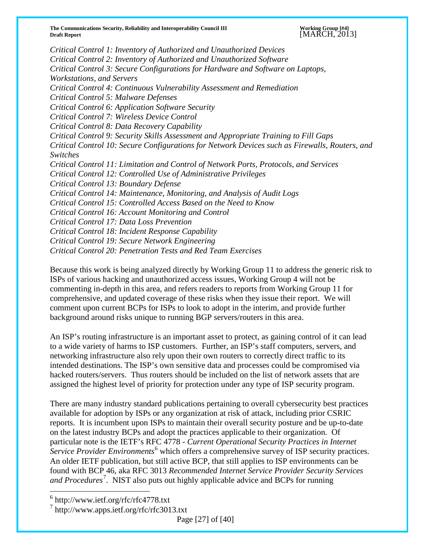*Critical Control 1: Inventory of Authorized and Unauthorized Devices Critical Control 2: Inventory of Authorized and Unauthorized Software Critical Control 3: Secure Configurations for Hardware and Software on Laptops, Workstations, and Servers Critical Control 4: Continuous Vulnerability Assessment and Remediation Critical Control 5: Malware Defenses Critical Control 6: Application Software Security Critical Control 7: Wireless Device Control Critical Control 8: Data Recovery Capability Critical Control 9: Security Skills Assessment and Appropriate Training to Fill Gaps Critical Control 10: Secure Configurations for Network Devices such as Firewalls, Routers, and Switches Critical Control 11: Limitation and Control of Network Ports, Protocols, and Services Critical Control 12: Controlled Use of Administrative Privileges Critical Control 13: Boundary Defense Critical Control 14: Maintenance, Monitoring, and Analysis of Audit Logs Critical Control 15: Controlled Access Based on the Need to Know Critical Control 16: Account Monitoring and Control Critical Control 17: Data Loss Prevention Critical Control 18: Incident Response Capability Critical Control 19: Secure Network Engineering Critical Control 20: Penetration Tests and Red Team Exercises*

Because this work is being analyzed directly by Working Group 11 to address the generic risk to ISPs of various hacking and unauthorized access issues, Working Group 4 will not be commenting in-depth in this area, and refers readers to reports from Working Group 11 for comprehensive, and updated coverage of these risks when they issue their report. We will comment upon current BCPs for ISPs to look to adopt in the interim, and provide further background around risks unique to running BGP servers/routers in this area.

An ISP's routing infrastructure is an important asset to protect, as gaining control of it can lead to a wide variety of harms to ISP customers. Further, an ISP's staff computers, servers, and networking infrastructure also rely upon their own routers to correctly direct traffic to its intended destinations. The ISP's own sensitive data and processes could be compromised via hacked routers/servers. Thus routers should be included on the list of network assets that are assigned the highest level of priority for protection under any type of ISP security program.

There are many industry standard publications pertaining to overall cybersecurity best practices available for adoption by ISPs or any organization at risk of attack, including prior CSRIC reports. It is incumbent upon ISPs to maintain their overall security posture and be up-to-date on the latest industry BCPs and adopt the practices applicable to their organization. Of particular note is the IETF's RFC 4778 - *Current Operational Security Practices in Internet Service Provider Environments*<sup>[6](#page-25-1)</sup> which offers a comprehensive survey of ISP security practices. An older IETF publication, but still active BCP, that still applies to ISP environments can be found with BCP 46, aka RFC 3013 *Recommended Internet Service Provider Security Services*  and Procedures<sup>[7](#page-26-0)</sup>. NIST also puts out highly applicable advice and BCPs for running

<span id="page-26-1"></span> $6$  http://www.ietf.org/rfc/rfc4778.txt

<span id="page-26-0"></span><sup>7</sup> http://www.apps.ietf.org/rfc/rfc3013.txt

Page [27] of [40]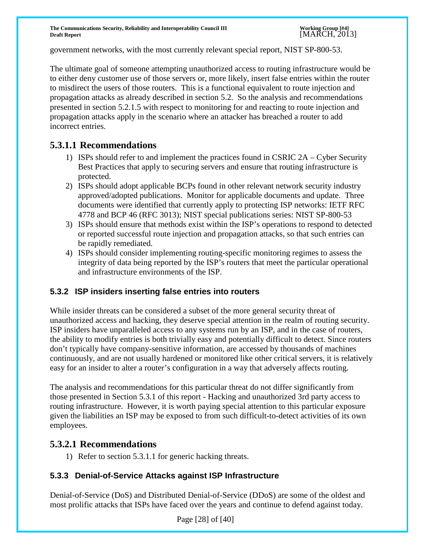government networks, with the most currently relevant special report, NIST SP-800-53.

The ultimate goal of someone attempting unauthorized access to routing infrastructure would be to either deny customer use of those servers or, more likely, insert false entries within the router to misdirect the users of those routers. This is a functional equivalent to route injection and propagation attacks as already described in section 5.2. So the analysis and recommendations presented in section 5.2.1.5 with respect to monitoring for and reacting to route injection and propagation attacks apply in the scenario where an attacker has breached a router to add incorrect entries.

#### **5.3.1.1 Recommendations**

- 1) ISPs should refer to and implement the practices found in CSRIC 2A Cyber Security Best Practices that apply to securing servers and ensure that routing infrastructure is protected.
- 2) ISPs should adopt applicable BCPs found in other relevant network security industry approved/adopted publications. Monitor for applicable documents and update. Three documents were identified that currently apply to protecting ISP networks: IETF RFC 4778 and BCP 46 (RFC 3013); NIST special publications series: NIST SP-800-53
- 3) ISPs should ensure that methods exist within the ISP's operations to respond to detected or reported successful route injection and propagation attacks, so that such entries can be rapidly remediated.
- 4) ISPs should consider implementing routing-specific monitoring regimes to assess the integrity of data being reported by the ISP's routers that meet the particular operational and infrastructure environments of the ISP.

#### **5.3.2 ISP insiders inserting false entries into routers**

While insider threats can be considered a subset of the more general security threat of unauthorized access and hacking, they deserve special attention in the realm of routing security. ISP insiders have unparalleled access to any systems run by an ISP, and in the case of routers, the ability to modify entries is both trivially easy and potentially difficult to detect. Since routers don't typically have company-sensitive information, are accessed by thousands of machines continuously, and are not usually hardened or monitored like other critical servers, it is relatively easy for an insider to alter a router's configuration in a way that adversely affects routing.

The analysis and recommendations for this particular threat do not differ significantly from those presented in Section 5.3.1 of this report - Hacking and unauthorized 3rd party access to routing infrastructure. However, it is worth paying special attention to this particular exposure given the liabilities an ISP may be exposed to from such difficult-to-detect activities of its own employees.

#### **5.3.2.1 Recommendations**

1) Refer to section 5.3.1.1 for generic hacking threats.

#### **5.3.3 Denial-of-Service Attacks against ISP Infrastructure**

Denial-of-Service (DoS) and Distributed Denial-of-Service (DDoS) are some of the oldest and most prolific attacks that ISPs have faced over the years and continue to defend against today.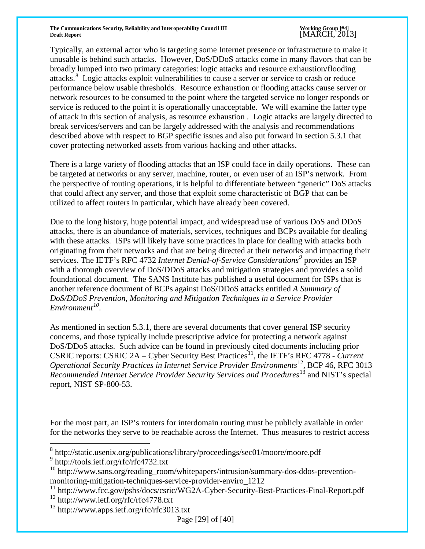Typically, an external actor who is targeting some Internet presence or infrastructure to make it unusable is behind such attacks. However, DoS/DDoS attacks come in many flavors that can be broadly lumped into two primary categories: logic attacks and resource exhaustion/flooding attacks.<sup>[8](#page-26-1)</sup> Logic attacks exploit vulnerabilities to cause a server or service to crash or reduce performance below usable thresholds. Resource exhaustion or flooding attacks cause server or network resources to be consumed to the point where the targeted service no longer responds or service is reduced to the point it is operationally unacceptable. We will examine the latter type of attack in this section of analysis, as resource exhaustion . Logic attacks are largely directed to break services/servers and can be largely addressed with the analysis and recommendations described above with respect to BGP specific issues and also put forward in section 5.3.1 that cover protecting networked assets from various hacking and other attacks.

There is a large variety of flooding attacks that an ISP could face in daily operations. These can be targeted at networks or any server, machine, router, or even user of an ISP's network. From the perspective of routing operations, it is helpful to differentiate between "generic" DoS attacks that could affect any server, and those that exploit some characteristic of BGP that can be utilized to affect routers in particular, which have already been covered.

Due to the long history, huge potential impact, and widespread use of various DoS and DDoS attacks, there is an abundance of materials, services, techniques and BCPs available for dealing with these attacks. ISPs will likely have some practices in place for dealing with attacks both originating from their networks and that are being directed at their networks and impacting their services. The IETF's RFC 4732 *Internet Denial-of-Service Considerations[9](#page-28-0)* provides an ISP with a thorough overview of DoS/DDoS attacks and mitigation strategies and provides a solid foundational document. The SANS Institute has published a useful document for ISPs that is another reference document of BCPs against DoS/DDoS attacks entitled *A Summary of DoS/DDoS Prevention, Monitoring and Mitigation Techniques in a Service Provider Environment[10](#page-28-1)*.

As mentioned in section 5.3.1, there are several documents that cover general ISP security concerns, and those typically include prescriptive advice for protecting a network against DoS/DDoS attacks. Such advice can be found in previously cited documents including prior CSRIC reports: CSRIC 2A – Cyber Security Best Practices<sup>[11](#page-28-2)</sup>, the IETF's RFC 4778 - *Current Operational Security Practices in Internet Service Provider Environments*[12](#page-28-3)*,* BCP 46, RFC 3013 *Recommended Internet Service Provider Security Services and Procedures*[13](#page-28-4) and NIST's special report, NIST SP-800-53.

For the most part, an ISP's routers for interdomain routing must be publicly available in order for the networks they serve to be reachable across the Internet. Thus measures to restrict access

<span id="page-28-2"></span><sup>11</sup> http://www.fcc.gov/pshs/docs/csric/WG2A-Cyber-Security-Best-Practices-Final-Report.pdf

<span id="page-28-3"></span> $12 \text{ http://www.ietf.org/rfc/rfc4778.txt}$ 

Page [29] of [40]

 <sup>8</sup> http://static.usenix.org/publications/library/proceedings/sec01/moore/moore.pdf

<span id="page-28-0"></span><sup>9</sup> http://tools.ietf.org/rfc/rfc4732.txt

<span id="page-28-1"></span> $10$  http://www.sans.org/reading\_room/whitepapers/intrusion/summary-dos-ddos-preventionmonitoring-mitigation-techniques-service-provider-enviro\_1212

<span id="page-28-4"></span><sup>13</sup> http://www.apps.ietf.org/rfc/rfc3013.txt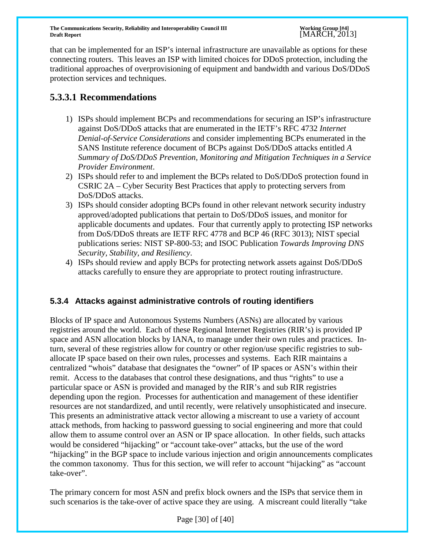that can be implemented for an ISP's internal infrastructure are unavailable as options for these connecting routers. This leaves an ISP with limited choices for DDoS protection, including the traditional approaches of overprovisioning of equipment and bandwidth and various DoS/DDoS protection services and techniques.

## **5.3.3.1 Recommendations**

- 1) ISPs should implement BCPs and recommendations for securing an ISP's infrastructure against DoS/DDoS attacks that are enumerated in the IETF's RFC 4732 *Internet Denial-of-Service Considerations* and consider implementing BCPs enumerated in the SANS Institute reference document of BCPs against DoS/DDoS attacks entitled *A Summary of DoS/DDoS Prevention, Monitoring and Mitigation Techniques in a Service Provider Environment*.
- 2) ISPs should refer to and implement the BCPs related to DoS/DDoS protection found in CSRIC 2A – Cyber Security Best Practices that apply to protecting servers from DoS/DDoS attacks.
- 3) ISPs should consider adopting BCPs found in other relevant network security industry approved/adopted publications that pertain to DoS/DDoS issues, and monitor for applicable documents and updates. Four that currently apply to protecting ISP networks from DoS/DDoS threats are IETF RFC 4778 and BCP 46 (RFC 3013); NIST special publications series: NIST SP-800-53; and ISOC Publication *Towards Improving DNS Security, Stability, and Resiliency*.
- 4) ISPs should review and apply BCPs for protecting network assets against DoS/DDoS attacks carefully to ensure they are appropriate to protect routing infrastructure.

#### **5.3.4 Attacks against administrative controls of routing identifiers**

Blocks of IP space and Autonomous Systems Numbers (ASNs) are allocated by various registries around the world. Each of these Regional Internet Registries (RIR's) is provided IP space and ASN allocation blocks by IANA, to manage under their own rules and practices. Inturn, several of these registries allow for country or other region/use specific registries to suballocate IP space based on their own rules, processes and systems. Each RIR maintains a centralized "whois" database that designates the "owner" of IP spaces or ASN's within their remit. Access to the databases that control these designations, and thus "rights" to use a particular space or ASN is provided and managed by the RIR's and sub RIR registries depending upon the region. Processes for authentication and management of these identifier resources are not standardized, and until recently, were relatively unsophisticated and insecure. This presents an administrative attack vector allowing a miscreant to use a variety of account attack methods, from hacking to password guessing to social engineering and more that could allow them to assume control over an ASN or IP space allocation. In other fields, such attacks would be considered "hijacking" or "account take-over" attacks, but the use of the word "hijacking" in the BGP space to include various injection and origin announcements complicates the common taxonomy. Thus for this section, we will refer to account "hijacking" as "account take-over".

The primary concern for most ASN and prefix block owners and the ISPs that service them in such scenarios is the take-over of active space they are using. A miscreant could literally "take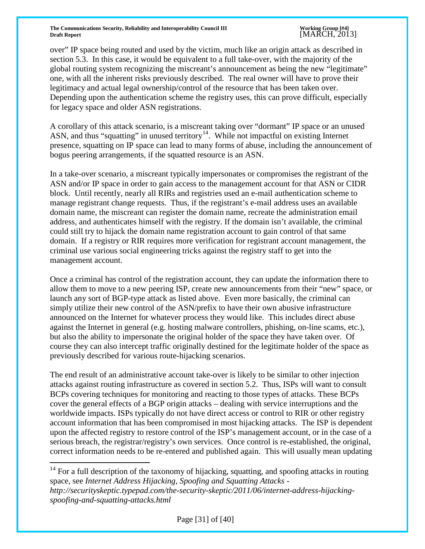over" IP space being routed and used by the victim, much like an origin attack as described in section 5.3. In this case, it would be equivalent to a full take-over, with the majority of the global routing system recognizing the miscreant's announcement as being the new "legitimate" one, with all the inherent risks previously described. The real owner will have to prove their legitimacy and actual legal ownership/control of the resource that has been taken over. Depending upon the authentication scheme the registry uses, this can prove difficult, especially for legacy space and older ASN registrations.

A corollary of this attack scenario, is a miscreant taking over "dormant" IP space or an unused ASN, and thus "squatting" in unused territory<sup>[14](#page-28-1)</sup>. While not impactful on existing Internet presence, squatting on IP space can lead to many forms of abuse, including the announcement of bogus peering arrangements, if the squatted resource is an ASN.

In a take-over scenario, a miscreant typically impersonates or compromises the registrant of the ASN and/or IP space in order to gain access to the management account for that ASN or CIDR block. Until recently, nearly all RIRs and registries used an e-mail authentication scheme to manage registrant change requests. Thus, if the registrant's e-mail address uses an available domain name, the miscreant can register the domain name, recreate the administration email address, and authenticates himself with the registry. If the domain isn't available, the criminal could still try to hijack the domain name registration account to gain control of that same domain. If a registry or RIR requires more verification for registrant account management, the criminal use various social engineering tricks against the registry staff to get into the management account.

Once a criminal has control of the registration account, they can update the information there to allow them to move to a new peering ISP, create new announcements from their "new" space, or launch any sort of BGP-type attack as listed above. Even more basically, the criminal can simply utilize their new control of the ASN/prefix to have their own abusive infrastructure announced on the Internet for whatever process they would like. This includes direct abuse against the Internet in general (e.g. hosting malware controllers, phishing, on-line scams, etc.), but also the ability to impersonate the original holder of the space they have taken over. Of course they can also intercept traffic originally destined for the legitimate holder of the space as previously described for various route-hijacking scenarios.

The end result of an administrative account take-over is likely to be similar to other injection attacks against routing infrastructure as covered in section 5.2. Thus, ISPs will want to consult BCPs covering techniques for monitoring and reacting to those types of attacks. These BCPs cover the general effects of a BGP origin attacks – dealing with service interruptions and the worldwide impacts. ISPs typically do not have direct access or control to RIR or other registry account information that has been compromised in most hijacking attacks. The ISP is dependent upon the affected registry to restore control of the ISP's management account, or in the case of a serious breach, the registrar/registry's own services. Once control is re-established, the original, correct information needs to be re-entered and published again. This will usually mean updating

<span id="page-30-0"></span> $14$  For a full description of the taxonomy of hijacking, squatting, and spoofing attacks in routing space, see *Internet Address Hijacking, Spoofing and Squatting Attacks http://securityskeptic.typepad.com/the-security-skeptic/2011/06/internet-address-hijackingspoofing-and-squatting-attacks.html*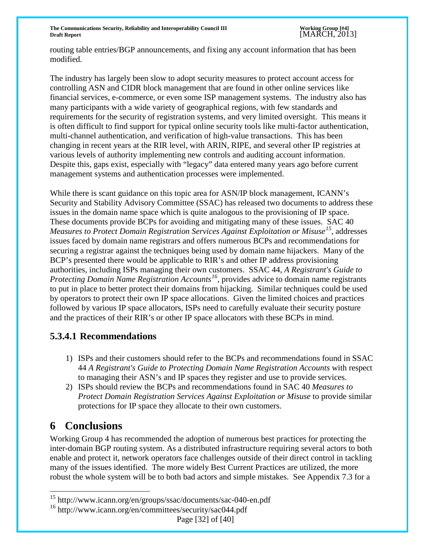routing table entries/BGP announcements, and fixing any account information that has been modified.

The industry has largely been slow to adopt security measures to protect account access for controlling ASN and CIDR block management that are found in other online services like financial services, e-commerce, or even some ISP management systems. The industry also has many participants with a wide variety of geographical regions, with few standards and requirements for the security of registration systems, and very limited oversight. This means it is often difficult to find support for typical online security tools like multi-factor authentication, multi-channel authentication, and verification of high-value transactions. This has been changing in recent years at the RIR level, with ARIN, RIPE, and several other IP registries at various levels of authority implementing new controls and auditing account information. Despite this, gaps exist, especially with "legacy" data entered many years ago before current management systems and authentication processes were implemented.

While there is scant guidance on this topic area for ASN/IP block management, ICANN's Security and Stability Advisory Committee (SSAC) has released two documents to address these issues in the domain name space which is quite analogous to the provisioning of IP space. These documents provide BCPs for avoiding and mitigating many of these issues. SAC 40 *Measures to Protect Domain Registration Services Against Exploitation or Misuse[15](#page-30-0)*, addresses issues faced by domain name registrars and offers numerous BCPs and recommendations for securing a registrar against the techniques being used by domain name hijackers. Many of the BCP's presented there would be applicable to RIR's and other IP address provisioning authorities, including ISPs managing their own customers. SSAC 44, *A Registrant's Guide to Protecting Domain Name Registration Accounts[16](#page-31-0),* provides advice to domain name registrants to put in place to better protect their domains from hijacking. Similar techniques could be used by operators to protect their own IP space allocations. Given the limited choices and practices followed by various IP space allocators, ISPs need to carefully evaluate their security posture and the practices of their RIR's or other IP space allocators with these BCPs in mind.

#### **5.3.4.1 Recommendations**

- 1) ISPs and their customers should refer to the BCPs and recommendations found in SSAC 44 *A Registrant's Guide to Protecting Domain Name Registration Accounts* with respect to managing their ASN's and IP spaces they register and use to provide services.
- 2) ISPs should review the BCPs and recommendations found in SAC 40 *Measures to Protect Domain Registration Services Against Exploitation or Misuse* to provide similar protections for IP space they allocate to their own customers.

## **6 Conclusions**

<span id="page-31-1"></span>Working Group 4 has recommended the adoption of numerous best practices for protecting the inter-domain BGP routing system. As a distributed infrastructure requiring several actors to both enable and protect it, network operators face challenges outside of their direct control in tackling many of the issues identified. The more widely Best Current Practices are utilized, the more robust the whole system will be to both bad actors and simple mistakes. See Appendix 7.3 for a

 <sup>15</sup> http://www.icann.org/en/groups/ssac/documents/sac-040-en.pdf

<span id="page-31-0"></span><sup>16</sup> http://www.icann.org/en/committees/security/sac044.pdf

Page [32] of [40]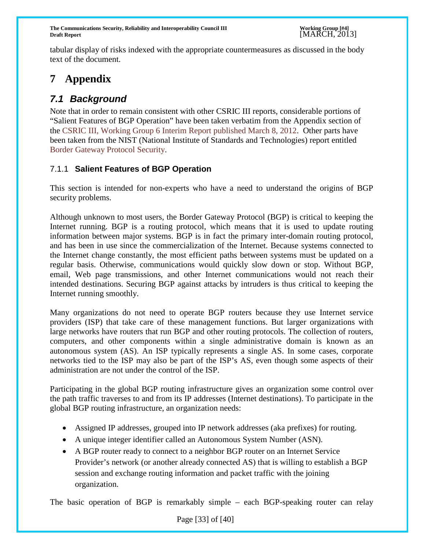tabular display of risks indexed with the appropriate countermeasures as discussed in the body text of the document.

# **7 Appendix**

## *7.1 Background*

Note that in order to remain consistent with other CSRIC III reports, considerable portions of "Salient Features of BGP Operation" have been taken verbatim from the Appendix section of the [CSRIC III, Working Group 6](http://transition.fcc.gov/bureaus/pshs/advisory/csric3/CSRIC-III-WG6-Final-Report.pdf) Interim Report published March 8, 2012. Other parts have been taken from the NIST (National Institute of Standards and Technologies) report entitled [Border Gateway Protocol Security.](http://csrc.nist.gov/publications/nistpubs/800-54/SP800-54.pdf)

#### 7.1.1 **Salient Features of BGP Operation**

This section is intended for non-experts who have a need to understand the origins of BGP security problems.

Although unknown to most users, the Border Gateway Protocol (BGP) is critical to keeping the Internet running. BGP is a routing protocol, which means that it is used to update routing information between major systems. BGP is in fact the primary inter-domain routing protocol, and has been in use since the commercialization of the Internet. Because systems connected to the Internet change constantly, the most efficient paths between systems must be updated on a regular basis. Otherwise, communications would quickly slow down or stop. Without BGP, email, Web page transmissions, and other Internet communications would not reach their intended destinations. Securing BGP against attacks by intruders is thus critical to keeping the Internet running smoothly.

Many organizations do not need to operate BGP routers because they use Internet service providers (ISP) that take care of these management functions. But larger organizations with large networks have routers that run BGP and other routing protocols. The collection of routers, computers, and other components within a single administrative domain is known as an autonomous system (AS). An ISP typically represents a single AS. In some cases, corporate networks tied to the ISP may also be part of the ISP's AS, even though some aspects of their administration are not under the control of the ISP.

Participating in the global BGP routing infrastructure gives an organization some control over the path traffic traverses to and from its IP addresses (Internet destinations). To participate in the global BGP routing infrastructure, an organization needs:

- Assigned IP addresses, grouped into IP network addresses (aka prefixes) for routing.
- A unique integer identifier called an Autonomous System Number (ASN).
- A BGP router ready to connect to a neighbor BGP router on an Internet Service Provider's network (or another already connected AS) that is willing to establish a BGP session and exchange routing information and packet traffic with the joining organization.

The basic operation of BGP is remarkably simple – each BGP-speaking router can relay

Page [33] of [40]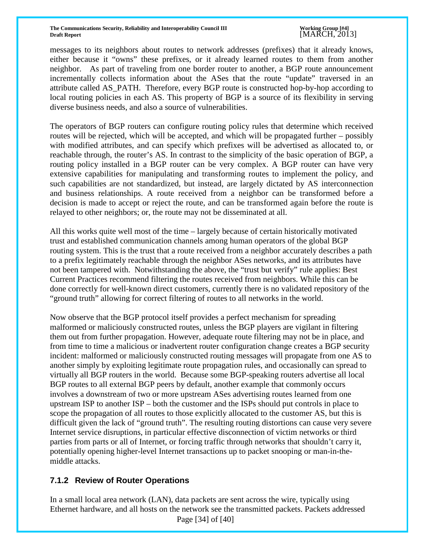messages to its neighbors about routes to network addresses (prefixes) that it already knows, either because it "owns" these prefixes, or it already learned routes to them from another neighbor. As part of traveling from one border router to another, a BGP route announcement incrementally collects information about the ASes that the route "update" traversed in an attribute called AS\_PATH. Therefore, every BGP route is constructed hop-by-hop according to local routing policies in each AS. This property of BGP is a source of its flexibility in serving diverse business needs, and also a source of vulnerabilities.

The operators of BGP routers can configure routing policy rules that determine which received routes will be rejected, which will be accepted, and which will be propagated further – possibly with modified attributes, and can specify which prefixes will be advertised as allocated to, or reachable through, the router's AS. In contrast to the simplicity of the basic operation of BGP, a routing policy installed in a BGP router can be very complex. A BGP router can have very extensive capabilities for manipulating and transforming routes to implement the policy, and such capabilities are not standardized, but instead, are largely dictated by AS interconnection and business relationships. A route received from a neighbor can be transformed before a decision is made to accept or reject the route, and can be transformed again before the route is relayed to other neighbors; or, the route may not be disseminated at all.

All this works quite well most of the time – largely because of certain historically motivated trust and established communication channels among human operators of the global BGP routing system. This is the trust that a route received from a neighbor accurately describes a path to a prefix legitimately reachable through the neighbor ASes networks, and its attributes have not been tampered with. Notwithstanding the above, the "trust but verify" rule applies: Best Current Practices recommend filtering the routes received from neighbors. While this can be done correctly for well-known direct customers, currently there is no validated repository of the "ground truth" allowing for correct filtering of routes to all networks in the world.

Now observe that the BGP protocol itself provides a perfect mechanism for spreading malformed or maliciously constructed routes, unless the BGP players are vigilant in filtering them out from further propagation. However, adequate route filtering may not be in place, and from time to time a malicious or inadvertent router configuration change creates a BGP security incident: malformed or maliciously constructed routing messages will propagate from one AS to another simply by exploiting legitimate route propagation rules, and occasionally can spread to virtually all BGP routers in the world. Because some BGP-speaking routers advertise all local BGP routes to all external BGP peers by default, another example that commonly occurs involves a downstream of two or more upstream ASes advertising routes learned from one upstream ISP to another ISP – both the customer and the ISPs should put controls in place to scope the propagation of all routes to those explicitly allocated to the customer AS, but this is difficult given the lack of "ground truth". The resulting routing distortions can cause very severe Internet service disruptions, in particular effective disconnection of victim networks or third parties from parts or all of Internet, or forcing traffic through networks that shouldn't carry it, potentially opening higher-level Internet transactions up to packet snooping or man-in-themiddle attacks.

#### **7.1.2 Review of Router Operations**

Page [34] of [40] In a small local area network (LAN), data packets are sent across the wire, typically using Ethernet hardware, and all hosts on the network see the transmitted packets. Packets addressed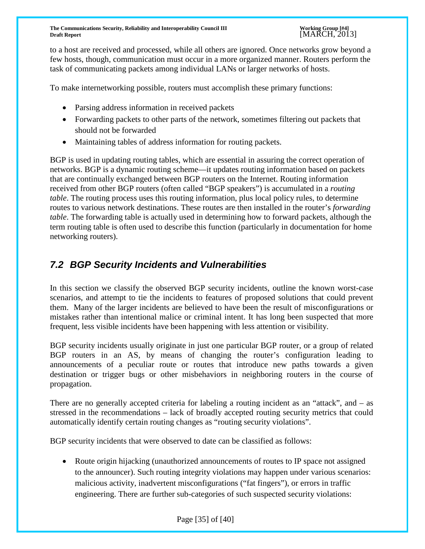to a host are received and processed, while all others are ignored. Once networks grow beyond a few hosts, though, communication must occur in a more organized manner. Routers perform the task of communicating packets among individual LANs or larger networks of hosts.

To make internetworking possible, routers must accomplish these primary functions:

- Parsing address information in received packets
- Forwarding packets to other parts of the network, sometimes filtering out packets that should not be forwarded
- Maintaining tables of address information for routing packets.

BGP is used in updating routing tables, which are essential in assuring the correct operation of networks. BGP is a dynamic routing scheme—it updates routing information based on packets that are continually exchanged between BGP routers on the Internet. Routing information received from other BGP routers (often called "BGP speakers") is accumulated in a *routing table*. The routing process uses this routing information, plus local policy rules, to determine routes to various network destinations. These routes are then installed in the router's *forwarding table*. The forwarding table is actually used in determining how to forward packets, although the term routing table is often used to describe this function (particularly in documentation for home networking routers).

## *7.2 BGP Security Incidents and Vulnerabilities*

In this section we classify the observed BGP security incidents, outline the known worst-case scenarios, and attempt to tie the incidents to features of proposed solutions that could prevent them. Many of the larger incidents are believed to have been the result of misconfigurations or mistakes rather than intentional malice or criminal intent. It has long been suspected that more frequent, less visible incidents have been happening with less attention or visibility.

BGP security incidents usually originate in just one particular BGP router, or a group of related BGP routers in an AS, by means of changing the router's configuration leading to announcements of a peculiar route or routes that introduce new paths towards a given destination or trigger bugs or other misbehaviors in neighboring routers in the course of propagation.

There are no generally accepted criteria for labeling a routing incident as an "attack", and – as stressed in the recommendations – lack of broadly accepted routing security metrics that could automatically identify certain routing changes as "routing security violations".

BGP security incidents that were observed to date can be classified as follows:

• Route origin hijacking (unauthorized announcements of routes to IP space not assigned to the announcer). Such routing integrity violations may happen under various scenarios: malicious activity, inadvertent misconfigurations ("fat fingers"), or errors in traffic engineering. There are further sub-categories of such suspected security violations: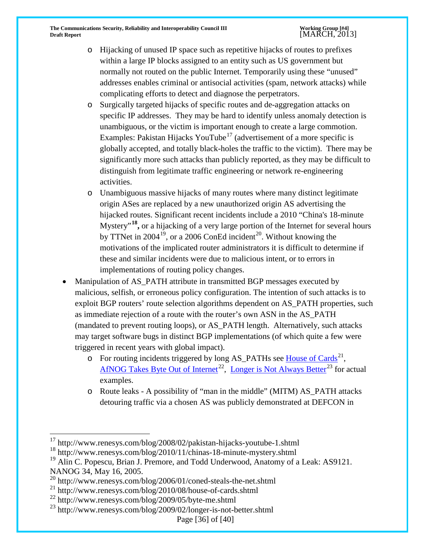- o Hijacking of unused IP space such as repetitive hijacks of routes to prefixes within a large IP blocks assigned to an entity such as US government but normally not routed on the public Internet. Temporarily using these "unused" addresses enables criminal or antisocial activities (spam, network attacks) while complicating efforts to detect and diagnose the perpetrators.
- o Surgically targeted hijacks of specific routes and de-aggregation attacks on specific IP addresses. They may be hard to identify unless anomaly detection is unambiguous, or the victim is important enough to create a large commotion. Examples: Pakistan Hijacks YouTube<sup>[17](#page-31-1)</sup> (advertisement of a more specific is globally accepted, and totally black-holes the traffic to the victim). There may be significantly more such attacks than publicly reported, as they may be difficult to distinguish from legitimate traffic engineering or network re-engineering activities.
- o Unambiguous massive hijacks of many routes where many distinct legitimate origin ASes are replaced by a new unauthorized origin AS advertising the hijacked routes. Significant recent incidents include a 2010 "China's 18-minute Mystery<sup>[18](#page-35-0)</sup>, or a hijacking of a very large portion of the Internet for several hours by TTNet in  $2004^{19}$  $2004^{19}$  $2004^{19}$ , or a  $2006$  ConEd incident<sup>20</sup>. Without knowing the motivations of the implicated router administrators it is difficult to determine if these and similar incidents were due to malicious intent, or to errors in implementations of routing policy changes.
- Manipulation of AS\_PATH attribute in transmitted BGP messages executed by malicious, selfish, or erroneous policy configuration. The intention of such attacks is to exploit BGP routers' route selection algorithms dependent on AS\_PATH properties, such as immediate rejection of a route with the router's own ASN in the AS\_PATH (mandated to prevent routing loops), or AS\_PATH length. Alternatively, such attacks may target software bugs in distinct BGP implementations (of which quite a few were triggered in recent years with global impact).
	- o For routing incidents triggered by long AS\_PATHs see [House of Cards](http://www.renesys.com/blog/2010/08/house-of-cards.shtml)<sup>[21](#page-35-3)</sup>, [AfNOG Takes Byte Out of Internet](http://www.renesys.com/blog/2009/05/byte-me.shtml)<sup>[22](#page-35-4)</sup>, [Longer is Not Always Better](http://www.renesys.com/blog/2009/02/longer-is-not-better.shtml)<sup>[23](#page-35-5)</sup> for actual examples.
	- o Route leaks A possibility of "man in the middle" (MITM) AS\_PATH attacks detouring traffic via a chosen AS was publicly demonstrated at DEFCON in

#### Page [36] of [40]

 $17 \text{ http://www.renesys.com/blog/2008/02/pakistan-hijacks-voutube-1.shtml}$ 

<span id="page-35-0"></span><sup>18</sup> http://www.renesys.com/blog/2010/11/chinas-18-minute-mystery.shtml

<span id="page-35-1"></span><sup>&</sup>lt;sup>19</sup> Alin C. Popescu, Brian J. Premore, and Todd Underwood, Anatomy of a Leak: AS9121. NANOG 34, May 16, 2005.

<span id="page-35-2"></span><sup>20</sup> http://www.renesys.com/blog/2006/01/coned-steals-the-net.shtml

<span id="page-35-3"></span><sup>21</sup> http://www.renesys.com/blog/2010/08/house-of-cards.shtml

<span id="page-35-4"></span><sup>22</sup> http://www.renesys.com/blog/2009/05/byte-me.shtml

<span id="page-35-5"></span><sup>23</sup> http://www.renesys.com/blog/2009/02/longer-is-not-better.shtml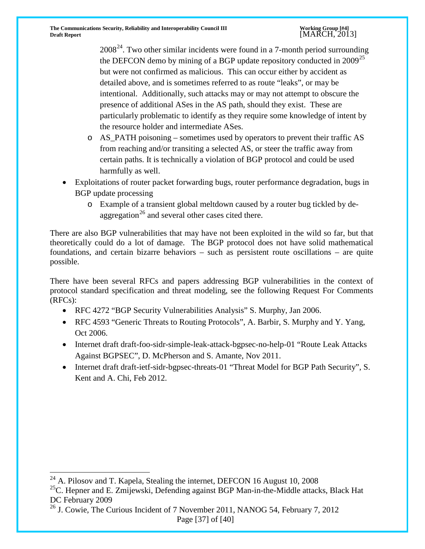$2008<sup>24</sup>$ . Two other similar incidents were found in a 7-month period surrounding the DEFCON demo by mining of a BGP update repository conducted in  $2009^{25}$  $2009^{25}$  $2009^{25}$ but were not confirmed as malicious. This can occur either by accident as detailed above, and is sometimes referred to as route "leaks", or may be intentional. Additionally, such attacks may or may not attempt to obscure the presence of additional ASes in the AS path, should they exist. These are particularly problematic to identify as they require some knowledge of intent by the resource holder and intermediate ASes.

- $\circ$  AS PATH poisoning sometimes used by operators to prevent their traffic AS from reaching and/or transiting a selected AS, or steer the traffic away from certain paths. It is technically a violation of BGP protocol and could be used harmfully as well.
- Exploitations of router packet forwarding bugs, router performance degradation, bugs in BGP update processing
	- o Example of a transient global meltdown caused by a router bug tickled by de-aggregation<sup>[26](#page-36-1)</sup> and several other cases cited there.

There are also BGP vulnerabilities that may have not been exploited in the wild so far, but that theoretically could do a lot of damage. The BGP protocol does not have solid mathematical foundations, and certain bizarre behaviors – such as persistent route oscillations – are quite possible.

There have been several RFCs and papers addressing BGP vulnerabilities in the context of protocol standard specification and threat modeling, see the following Request For Comments (RFCs):

- RFC 4272 "BGP Security Vulnerabilities Analysis" S. Murphy, Jan 2006.
- RFC 4593 "Generic Threats to Routing Protocols", A. Barbir, S. Murphy and Y. Yang, Oct 2006.
- Internet draft draft-foo-sidr-simple-leak-attack-bgpsec-no-help-01 "Route Leak Attacks" Against BGPSEC", D. McPherson and S. Amante, Nov 2011.
- Internet draft draft-ietf-sidr-bgpsec-threats-01 "Threat Model for BGP Path Security", S. Kent and A. Chi, Feb 2012.

 $^{24}$  A. Pilosov and T. Kapela, Stealing the internet, DEFCON 16 August 10, 2008

<span id="page-36-0"></span><sup>&</sup>lt;sup>25</sup>C. Hepner and E. Zmijewski, Defending against BGP Man-in-the-Middle attacks, Black Hat DC February 2009

<span id="page-36-1"></span>Page [37] of [40] <sup>26</sup> J. Cowie, The Curious Incident of 7 November 2011, NANOG 54, February 7, 2012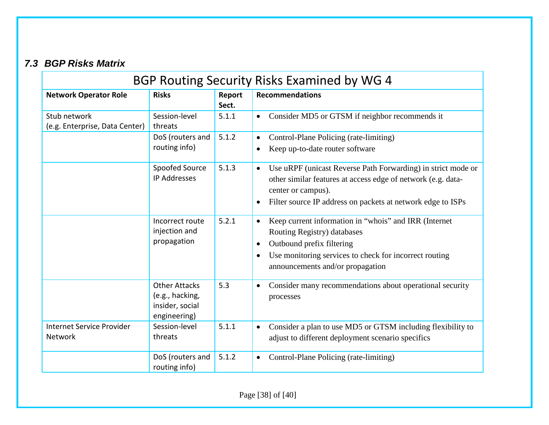## *7.3 BGP Risks Matrix*

| BGP Routing Security Risks Examined by WG 4    |                                                                            |                 |                                                                                                                                                                                                                                |  |  |  |
|------------------------------------------------|----------------------------------------------------------------------------|-----------------|--------------------------------------------------------------------------------------------------------------------------------------------------------------------------------------------------------------------------------|--|--|--|
| <b>Network Operator Role</b>                   | <b>Risks</b>                                                               | Report<br>Sect. | <b>Recommendations</b>                                                                                                                                                                                                         |  |  |  |
| Stub network<br>(e.g. Enterprise, Data Center) | Session-level<br>threats                                                   | 5.1.1           | Consider MD5 or GTSM if neighbor recommends it<br>$\bullet$                                                                                                                                                                    |  |  |  |
|                                                | DoS (routers and<br>routing info)                                          | 5.1.2           | Control-Plane Policing (rate-limiting)<br>$\bullet$<br>Keep up-to-date router software                                                                                                                                         |  |  |  |
|                                                | Spoofed Source<br><b>IP Addresses</b>                                      | 5.1.3           | Use uRPF (unicast Reverse Path Forwarding) in strict mode or<br>$\bullet$<br>other similar features at access edge of network (e.g. data-<br>center or campus).<br>Filter source IP address on packets at network edge to ISPs |  |  |  |
|                                                | Incorrect route<br>injection and<br>propagation                            | 5.2.1           | Keep current information in "whois" and IRR (Internet<br>Routing Registry) databases<br>Outbound prefix filtering<br>Use monitoring services to check for incorrect routing<br>announcements and/or propagation                |  |  |  |
|                                                | <b>Other Attacks</b><br>(e.g., hacking,<br>insider, social<br>engineering) | 5.3             | Consider many recommendations about operational security<br>processes                                                                                                                                                          |  |  |  |
| Internet Service Provider<br>Network           | Session-level<br>threats                                                   | 5.1.1           | Consider a plan to use MD5 or GTSM including flexibility to<br>$\bullet$<br>adjust to different deployment scenario specifics                                                                                                  |  |  |  |
|                                                | DoS (routers and<br>routing info)                                          | 5.1.2           | Control-Plane Policing (rate-limiting)<br>$\bullet$                                                                                                                                                                            |  |  |  |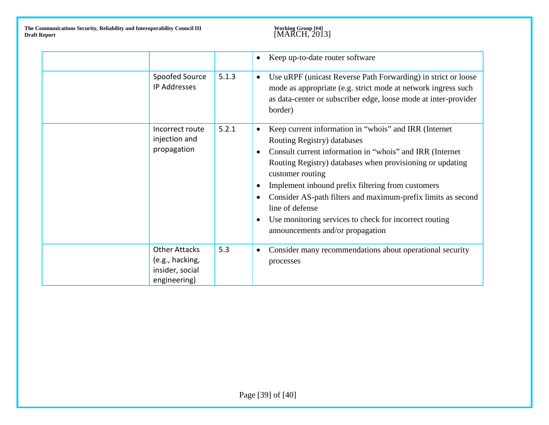# Working Group [#4]<br>[MARCH, 2013]

|                                                                            |       | Keep up-to-date router software<br>$\bullet$                                                                                                                                                                                                                                                                                                                                                                                                                                                      |
|----------------------------------------------------------------------------|-------|---------------------------------------------------------------------------------------------------------------------------------------------------------------------------------------------------------------------------------------------------------------------------------------------------------------------------------------------------------------------------------------------------------------------------------------------------------------------------------------------------|
| Spoofed Source<br>IP Addresses                                             | 5.1.3 | Use uRPF (unicast Reverse Path Forwarding) in strict or loose<br>$\bullet$<br>mode as appropriate (e.g. strict mode at network ingress such<br>as data-center or subscriber edge, loose mode at inter-provider<br>border)                                                                                                                                                                                                                                                                         |
| Incorrect route<br>injection and<br>propagation                            | 5.2.1 | Keep current information in "whois" and IRR (Internet<br>$\bullet$<br>Routing Registry) databases<br>Consult current information in "whois" and IRR (Internet<br>Routing Registry) databases when provisioning or updating<br>customer routing<br>Implement inbound prefix filtering from customers<br>$\bullet$<br>Consider AS-path filters and maximum-prefix limits as second<br>line of defense<br>Use monitoring services to check for incorrect routing<br>announcements and/or propagation |
| <b>Other Attacks</b><br>(e.g., hacking,<br>insider, social<br>engineering) | 5.3   | Consider many recommendations about operational security<br>processes                                                                                                                                                                                                                                                                                                                                                                                                                             |